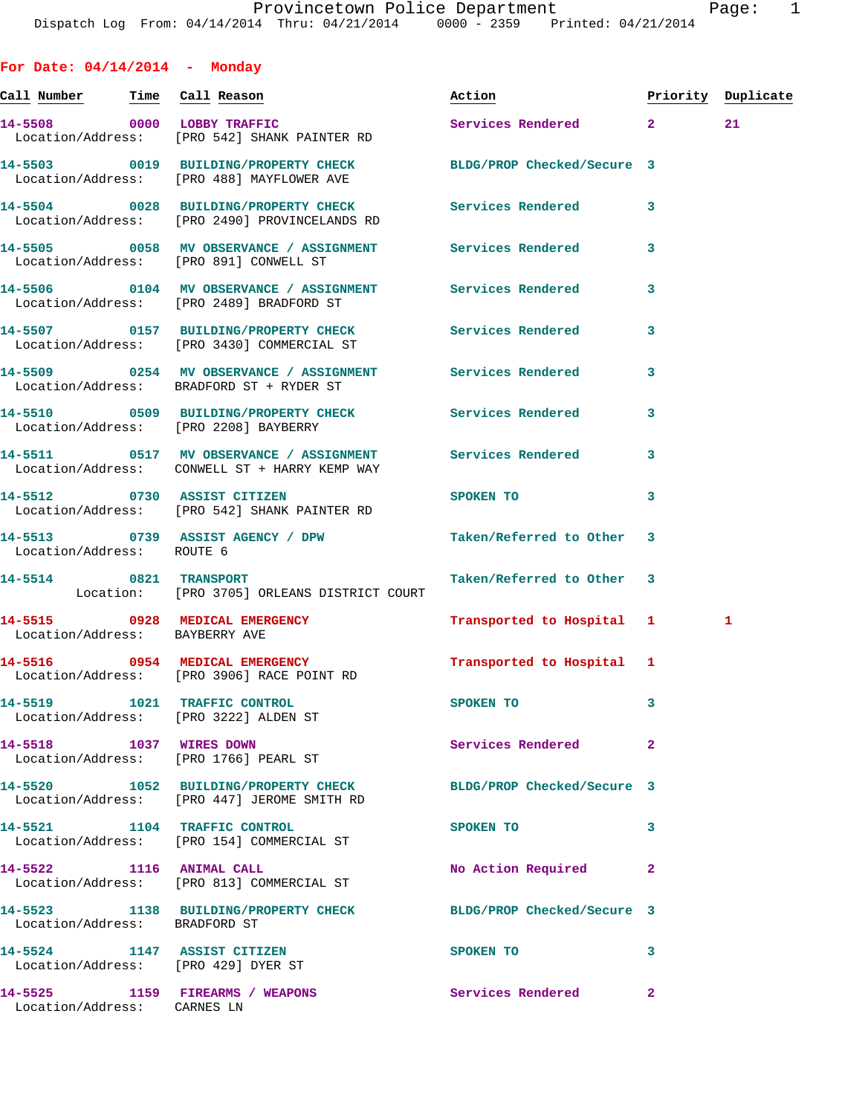**For Date: 04/14/2014 - Monday Call Number Time Call Reason Action Priority Duplicate 14-5508 0000 LOBBY TRAFFIC Services Rendered 2 21**  Location/Address: [PRO 542] SHANK PAINTER RD **14-5503 0019 BUILDING/PROPERTY CHECK BLDG/PROP Checked/Secure 3**  Location/Address: [PRO 488] MAYFLOWER AVE **14-5504 0028 BUILDING/PROPERTY CHECK Services Rendered 3**  Location/Address: [PRO 2490] PROVINCELANDS RD **14-5505 0058 MV OBSERVANCE / ASSIGNMENT Services Rendered 3**  Location/Address: [PRO 891] CONWELL ST **14-5506 0104 MV OBSERVANCE / ASSIGNMENT Services Rendered 3**  Location/Address: [PRO 2489] BRADFORD ST **14-5507 0157 BUILDING/PROPERTY CHECK Services Rendered 3**  Location/Address: [PRO 3430] COMMERCIAL ST **14-5509 0254 MV OBSERVANCE / ASSIGNMENT Services Rendered 3**  Location/Address: BRADFORD ST + RYDER ST **14-5510 0509 BUILDING/PROPERTY CHECK Services Rendered 3**  Location/Address: [PRO 2208] BAYBERRY **14-5511 0517 MV OBSERVANCE / ASSIGNMENT Services Rendered 3**  Location/Address: CONWELL ST + HARRY KEMP WAY **14-5512 0730 ASSIST CITIZEN SPOKEN TO 3**  Location/Address: [PRO 542] SHANK PAINTER RD **14-5513 0739 ASSIST AGENCY / DPW Taken/Referred to Other 3**  Location/Address: ROUTE 6 **14-5514 0821 TRANSPORT Taken/Referred to Other 3**  Location: [PRO 3705] ORLEANS DISTRICT COURT **14-5515 0928 MEDICAL EMERGENCY Transported to Hospital 1 1**  Location/Address: BAYBERRY AVE **14-5516 0954 MEDICAL EMERGENCY Transported to Hospital 1**  Location/Address: [PRO 3906] RACE POINT RD **14-5519 1021 TRAFFIC CONTROL SPOKEN TO 3**  Location/Address: [PRO 3222] ALDEN ST **14-5518 1037 WIRES DOWN Services Rendered 2**  Location/Address: [PRO 1766] PEARL ST **14-5520 1052 BUILDING/PROPERTY CHECK BLDG/PROP Checked/Secure 3**  Location/Address: [PRO 447] JEROME SMITH RD **14-5521 1104 TRAFFIC CONTROL SPOKEN TO 3**  Location/Address: [PRO 154] COMMERCIAL ST **14-5522 1116 ANIMAL CALL No Action Required 2**  Location/Address: [PRO 813] COMMERCIAL ST **14-5523 1138 BUILDING/PROPERTY CHECK BLDG/PROP Checked/Secure 3**  Location/Address: BRADFORD ST **14-5524 1147 ASSIST CITIZEN SPOKEN TO 3** 

 Location/Address: [PRO 429] DYER ST **14-5525 1159 FIREARMS / WEAPONS Services Rendered 2**  Location/Address: CARNES LN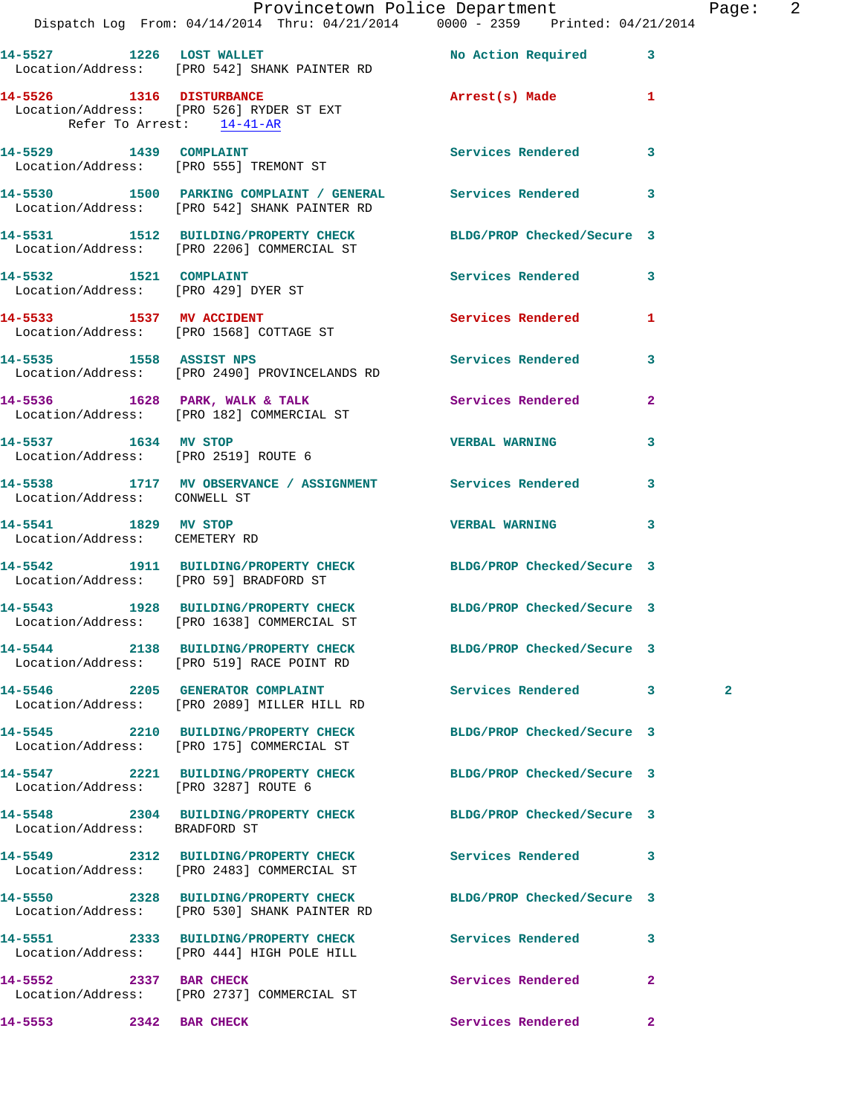|                                                       | Dispatch Log From: 04/14/2014 Thru: 04/21/2014 0000 - 2359 Printed: 04/21/2014                                  | Provincetown Police Department | Page: 2      |  |
|-------------------------------------------------------|-----------------------------------------------------------------------------------------------------------------|--------------------------------|--------------|--|
|                                                       |                                                                                                                 |                                |              |  |
|                                                       | 14-5527 1226 LOST WALLET<br>Location/Address: [PRO 542] SHANK PAINTER RD                                        | No Action Required 3           |              |  |
| Refer To Arrest: 14-41-AR                             | 14-5526 1316 DISTURBANCE<br>Location/Address: [PRO 526] RYDER ST EXT                                            | Arrest(s) Made 1               |              |  |
|                                                       | 14-5529 1439 COMPLAINT<br>Location/Address: [PRO 555] TREMONT ST                                                | Services Rendered 3            |              |  |
|                                                       | 14-5530 1500 PARKING COMPLAINT / GENERAL Services Rendered 3<br>Location/Address: [PRO 542] SHANK PAINTER RD    |                                |              |  |
|                                                       | 14-5531 1512 BUILDING/PROPERTY CHECK BLDG/PROP Checked/Secure 3<br>Location/Address: [PRO 2206] COMMERCIAL ST   |                                |              |  |
|                                                       | 14-5532 1521 COMPLAINT<br>Location/Address: [PRO 429] DYER ST                                                   | Services Rendered 3            |              |  |
|                                                       | 14-5533 1537 MV ACCIDENT<br>Location/Address: [PRO 1568] COTTAGE ST                                             | Services Rendered 1            |              |  |
|                                                       | 14-5535 1558 ASSIST NPS<br>Location/Address: [PRO 2490] PROVINCELANDS RD                                        | Services Rendered 3            |              |  |
|                                                       | 14-5536 1628 PARK, WALK & TALK 1988 Services Rendered 2<br>Location/Address: [PRO 182] COMMERCIAL ST            |                                |              |  |
|                                                       | 14-5537 1634 MV STOP<br>Location/Address: [PRO 2519] ROUTE 6                                                    | <b>VERBAL WARNING</b>          | 3            |  |
|                                                       | 14-5538 1717 MV OBSERVANCE / ASSIGNMENT Services Rendered<br>  Location/Address: CONWELL ST                     |                                | $\mathbf{3}$ |  |
| 14-5541 1829 MV STOP<br>Location/Address: CEMETERY RD |                                                                                                                 | VERBAL WARNING 3               |              |  |
|                                                       | 14-5542 1911 BUILDING/PROPERTY CHECK BLDG/PROP Checked/Secure 3<br>Location/Address: [PRO 59] BRADFORD ST       |                                |              |  |
|                                                       | 14-5543 1928 BUILDING/PROPERTY CHECK BLDG/PROP Checked/Secure 3<br>Location/Address: [PRO 1638] COMMERCIAL ST   |                                |              |  |
|                                                       | 14-5544 2138 BUILDING/PROPERTY CHECK BLDG/PROP Checked/Secure 3<br>Location/Address: [PRO 519] RACE POINT RD    |                                |              |  |
|                                                       | 14-5546 2205 GENERATOR COMPLAINT<br>Location/Address: [PRO 2089] MILLER HILL RD                                 | <b>Services Rendered</b> 3     | $\mathbf{2}$ |  |
|                                                       | 14-5545 2210 BUILDING/PROPERTY CHECK BLDG/PROP Checked/Secure 3<br>Location/Address: [PRO 175] COMMERCIAL ST    |                                |              |  |
| Location/Address: [PRO 3287] ROUTE 6                  | 14-5547 2221 BUILDING/PROPERTY CHECK BLDG/PROP Checked/Secure 3                                                 |                                |              |  |
| Location/Address: BRADFORD ST                         | 14-5548 2304 BUILDING/PROPERTY CHECK BLDG/PROP Checked/Secure 3                                                 |                                |              |  |
|                                                       | 14-5549 2312 BUILDING/PROPERTY CHECK Services Rendered 3<br>Location/Address: [PRO 2483] COMMERCIAL ST          |                                |              |  |
|                                                       | 14-5550 2328 BUILDING/PROPERTY CHECK BLDG/PROP Checked/Secure 3<br>Location/Address: [PRO 530] SHANK PAINTER RD |                                |              |  |
|                                                       | 14-5551 2333 BUILDING/PROPERTY CHECK Services Rendered<br>Location/Address: [PRO 444] HIGH POLE HILL            |                                | $\mathbf{3}$ |  |
| 14-5552 2337 BAR CHECK                                | Location/Address: [PRO 2737] COMMERCIAL ST                                                                      | Services Rendered              | $\mathbf{2}$ |  |
| 2342 BAR CHECK<br>14-5553                             |                                                                                                                 | Services Rendered 2            |              |  |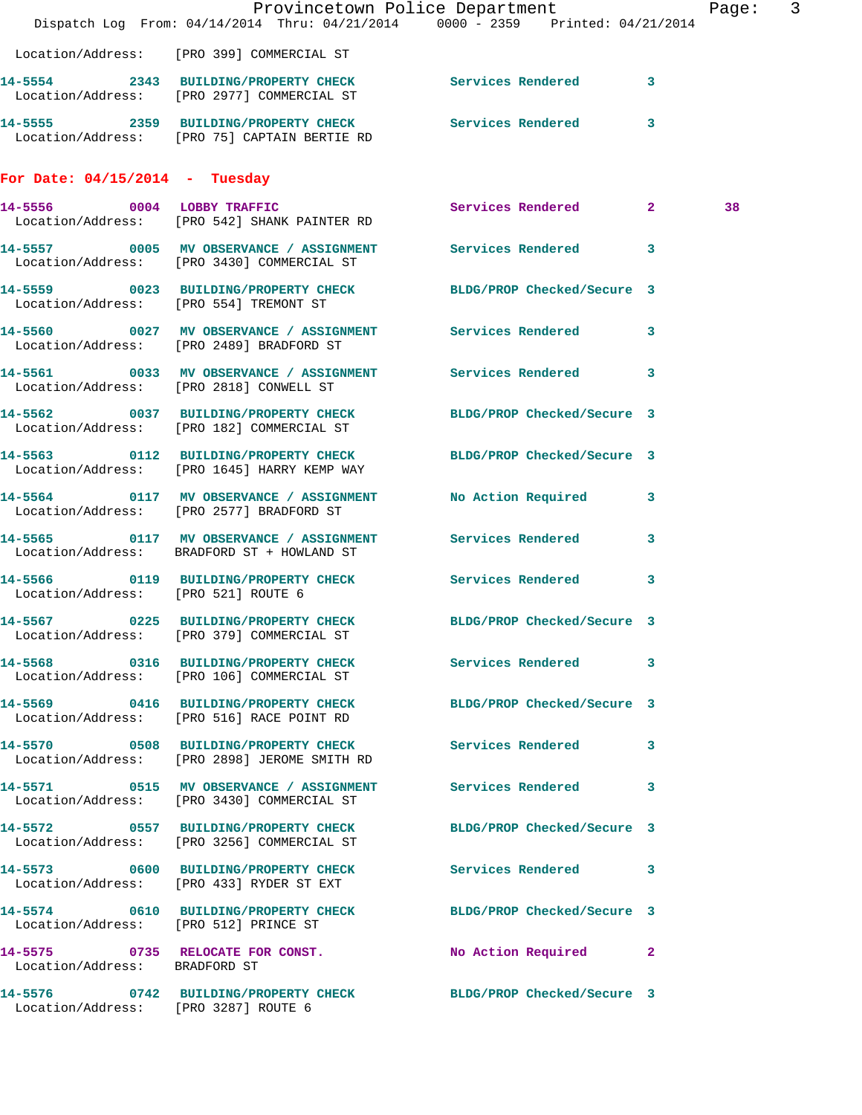|                                       | Dispatch Log From: 04/14/2014 Thru: 04/21/2014 0000 - 2359 Printed: 04/21/2014                                 | Provincetown Police Department | Page: 3 |  |
|---------------------------------------|----------------------------------------------------------------------------------------------------------------|--------------------------------|---------|--|
|                                       | Location/Address: [PRO 399] COMMERCIAL ST                                                                      |                                |         |  |
|                                       | 14-5554 2343 BUILDING/PROPERTY CHECK Services Rendered 3<br>Location/Address: [PRO 2977] COMMERCIAL ST         |                                |         |  |
|                                       | 14-5555 2359 BUILDING/PROPERTY CHECK Services Rendered 3<br>Location/Address: [PRO 75] CAPTAIN BERTIE RD       |                                |         |  |
| For Date: $04/15/2014$ - Tuesday      |                                                                                                                |                                |         |  |
|                                       | 14-5556 0004 LOBBY TRAFFIC<br>Location/Address: [PRO 542] SHANK PAINTER RD                                     | Services Rendered 2            | 38      |  |
|                                       | 14-5557 0005 MV OBSERVANCE / ASSIGNMENT Services Rendered 3<br>Location/Address: [PRO 3430] COMMERCIAL ST      |                                |         |  |
|                                       | 14-5559 0023 BUILDING/PROPERTY CHECK BLDG/PROP Checked/Secure 3<br>Location/Address: [PRO 554] TREMONT ST      |                                |         |  |
|                                       | 14-5560 0027 MV OBSERVANCE / ASSIGNMENT Services Rendered 3<br>Location/Address: [PRO 2489] BRADFORD ST        |                                |         |  |
|                                       | 14-5561 0033 MV OBSERVANCE / ASSIGNMENT Services Rendered 3<br>Location/Address: [PRO 2818] CONWELL ST         |                                |         |  |
|                                       | 14-5562 0037 BUILDING/PROPERTY CHECK<br>Location/Address: [PRO 182] COMMERCIAL ST                              | BLDG/PROP Checked/Secure 3     |         |  |
|                                       | 14-5563 0112 BUILDING/PROPERTY CHECK BLDG/PROP Checked/Secure 3<br>Location/Address: [PRO 1645] HARRY KEMP WAY |                                |         |  |
|                                       | 14-5564 0117 MV OBSERVANCE / ASSIGNMENT No Action Required 3<br>Location/Address: [PRO 2577] BRADFORD ST       |                                |         |  |
|                                       | 14-5565 0117 MV OBSERVANCE / ASSIGNMENT Services Rendered 3<br>Location/Address: BRADFORD ST + HOWLAND ST      |                                |         |  |
| Location/Address: [PRO 521] ROUTE 6   | 14-5566 0119 BUILDING/PROPERTY CHECK Services Rendered 3                                                       |                                |         |  |
|                                       | 14-5567 0225 BUILDING/PROPERTY CHECK BLDG/PROP Checked/Secure 3<br>Location/Address: [PRO 379] COMMERCIAL ST   |                                |         |  |
|                                       | 14-5568 0316 BUILDING/PROPERTY CHECK Services Rendered 3<br>Location/Address: [PRO 106] COMMERCIAL ST          |                                |         |  |
|                                       | 14-5569 0416 BUILDING/PROPERTY CHECK BLDG/PROP Checked/Secure 3<br>Location/Address: [PRO 516] RACE POINT RD   |                                |         |  |
|                                       | 14-5570 0508 BUILDING/PROPERTY CHECK Services Rendered 3<br>Location/Address: [PRO 2898] JEROME SMITH RD       |                                |         |  |
|                                       | 14-5571 0515 MV OBSERVANCE / ASSIGNMENT Services Rendered 3<br>Location/Address: [PRO 3430] COMMERCIAL ST      |                                |         |  |
|                                       | 14-5572 0557 BUILDING/PROPERTY CHECK BLDG/PROP Checked/Secure 3<br>Location/Address: [PRO 3256] COMMERCIAL ST  |                                |         |  |
|                                       | 14-5573 0600 BUILDING/PROPERTY CHECK Services Rendered 3<br>Location/Address: [PRO 433] RYDER ST EXT           |                                |         |  |
| Location/Address: [PRO 512] PRINCE ST | 14-5574 0610 BUILDING/PROPERTY CHECK BLDG/PROP Checked/Secure 3                                                |                                |         |  |
| Location/Address: BRADFORD ST         | 14-5575 0735 RELOCATE FOR CONST. No Action Required 2                                                          |                                |         |  |
| Location/Address: [PRO 3287] ROUTE 6  | 14-5576 0742 BUILDING/PROPERTY CHECK BLDG/PROP Checked/Secure 3                                                |                                |         |  |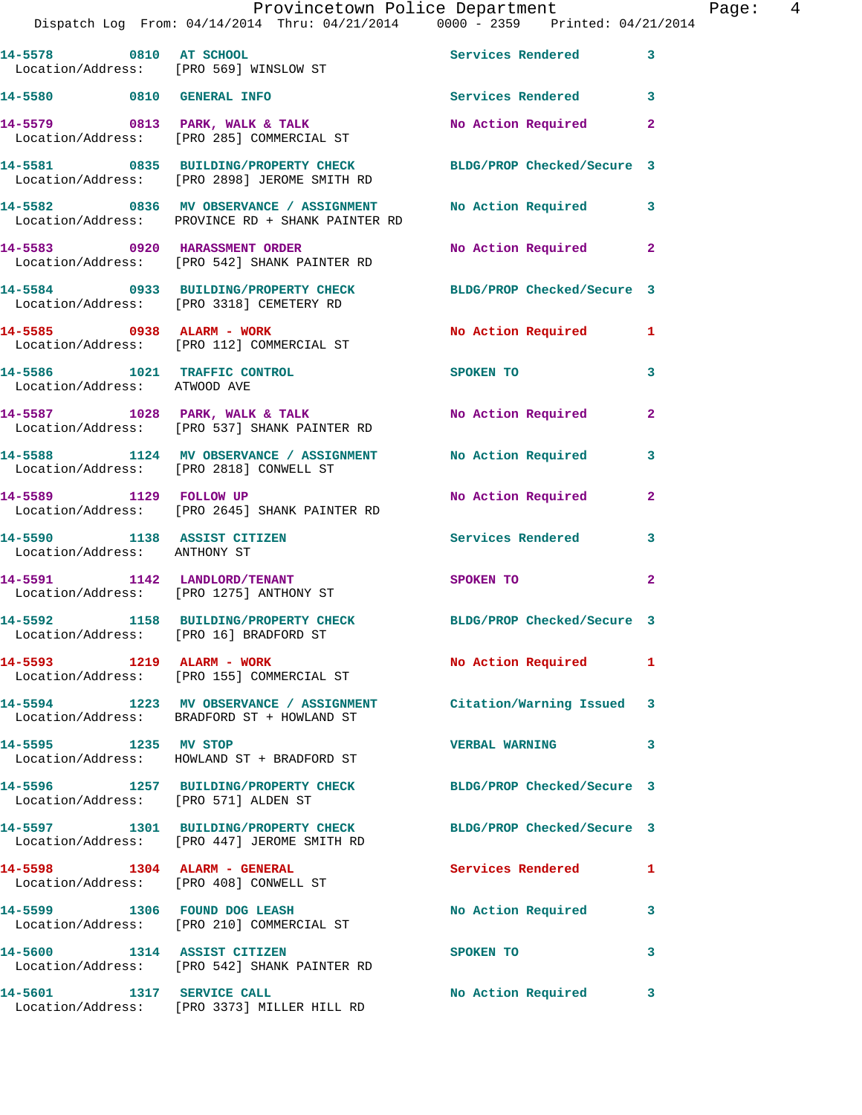|                                                   | Provincetown Police Department<br>Dispatch Log From: 04/14/2014 Thru: 04/21/2014 0000 - 2359 Printed: 04/21/2014 |                       |              | Page: 4 |  |
|---------------------------------------------------|------------------------------------------------------------------------------------------------------------------|-----------------------|--------------|---------|--|
|                                                   | 14-5578 0810 AT SCHOOL<br>Location/Address: [PRO 569] WINSLOW ST                                                 | Services Rendered 3   |              |         |  |
|                                                   | 14-5580 0810 GENERAL INFO                                                                                        | Services Rendered 3   |              |         |  |
|                                                   | 14-5579 0813 PARK, WALK & TALK<br>Location/Address: [PRO 285] COMMERCIAL ST                                      | No Action Required 2  |              |         |  |
|                                                   | 14-5581 0835 BUILDING/PROPERTY CHECK BLDG/PROP Checked/Secure 3<br>Location/Address: [PRO 2898] JEROME SMITH RD  |                       |              |         |  |
|                                                   | 14-5582 0836 MV OBSERVANCE / ASSIGNMENT<br>Location/Address: PROVINCE RD + SHANK PAINTER RD                      | No Action Required 3  |              |         |  |
|                                                   | 14-5583 0920 HARASSMENT ORDER<br>Location/Address: [PRO 542] SHANK PAINTER RD                                    | No Action Required 2  |              |         |  |
|                                                   | 14-5584 0933 BUILDING/PROPERTY CHECK BLDG/PROP Checked/Secure 3<br>Location/Address: [PRO 3318] CEMETERY RD      |                       |              |         |  |
|                                                   | 14-5585 0938 ALARM - WORK<br>Location/Address: [PRO 112] COMMERCIAL ST                                           | No Action Required 1  |              |         |  |
| Location/Address: ATWOOD AVE                      | 14-5586 1021 TRAFFIC CONTROL                                                                                     | <b>SPOKEN TO</b>      | 3            |         |  |
|                                                   | 14-5587 1028 PARK, WALK & TALK 1988 No Action Required<br>Location/Address: [PRO 537] SHANK PAINTER RD           |                       | $\mathbf{2}$ |         |  |
|                                                   | 14-5588 1124 MV OBSERVANCE / ASSIGNMENT No Action Required 3<br>Location/Address: [PRO 2818] CONWELL ST          |                       |              |         |  |
|                                                   | 14-5589 1129 FOLLOW UP<br>Location/Address: [PRO 2645] SHANK PAINTER RD                                          | No Action Required    | $\mathbf{2}$ |         |  |
| Location/Address: ANTHONY ST                      | 14-5590 1138 ASSIST CITIZEN 5 Services Rendered 3                                                                |                       |              |         |  |
|                                                   | 14-5591 1142 LANDLORD/TENANT<br>Location/Address: [PRO 1275] ANTHONY ST                                          | SPOKEN TO             | $\mathbf{2}$ |         |  |
| 14-5592<br>Location/Address: [PRO 16] BRADFORD ST | 1158 BUILDING/PROPERTY CHECK BLDG/PROP Checked/Secure 3                                                          |                       |              |         |  |
|                                                   | 14-5593 1219 ALARM - WORK<br>Location/Address: [PRO 155] COMMERCIAL ST                                           | No Action Required 1  |              |         |  |
|                                                   | 14-5594 1223 MV OBSERVANCE / ASSIGNMENT Citation/Warning Issued 3<br>Location/Address: BRADFORD ST + HOWLAND ST  |                       |              |         |  |
| 14-5595 1235 MV STOP                              | Location/Address: HOWLAND ST + BRADFORD ST                                                                       | <b>VERBAL WARNING</b> | 3            |         |  |
| Location/Address: [PRO 571] ALDEN ST              | 14-5596 1257 BUILDING/PROPERTY CHECK BLDG/PROP Checked/Secure 3                                                  |                       |              |         |  |
|                                                   | 14-5597 1301 BUILDING/PROPERTY CHECK BLDG/PROP Checked/Secure 3<br>Location/Address: [PRO 447] JEROME SMITH RD   |                       |              |         |  |
|                                                   | 14-5598 1304 ALARM - GENERAL<br>Location/Address: [PRO 408] CONWELL ST                                           | Services Rendered 1   |              |         |  |
|                                                   | 14-5599 1306 FOUND DOG LEASH<br>Location/Address: [PRO 210] COMMERCIAL ST                                        | No Action Required 3  |              |         |  |
| 14-5600 1314 ASSIST CITIZEN                       | Location/Address: [PRO 542] SHANK PAINTER RD                                                                     | SPOKEN TO             | 3            |         |  |
|                                                   | 14-5601 1317 SERVICE CALL<br>Location/Address: [PRO 3373] MILLER HILL RD                                         | No Action Required 3  |              |         |  |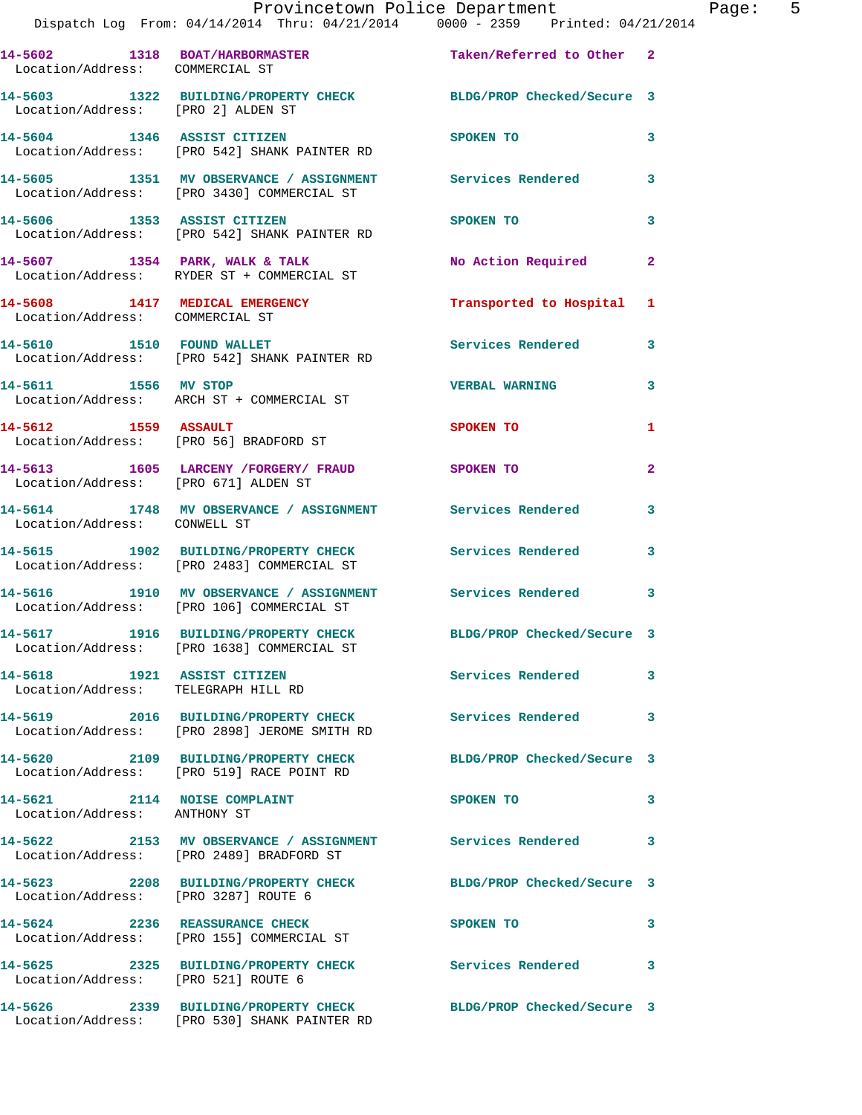|                                                                    | Provincetown Police Department<br>Dispatch Log From: 04/14/2014 Thru: 04/21/2014 0000 - 2359 Printed: 04/21/2014 |                          |              |
|--------------------------------------------------------------------|------------------------------------------------------------------------------------------------------------------|--------------------------|--------------|
| Location/Address: COMMERCIAL ST                                    | 14-5602 1318 BOAT/HARBORMASTER Taken/Referred to Other 2                                                         |                          |              |
| Location/Address: [PRO 2] ALDEN ST                                 | 14-5603 1322 BUILDING/PROPERTY CHECK BLDG/PROP Checked/Secure 3                                                  |                          |              |
|                                                                    | 14-5604 1346 ASSIST CITIZEN<br>Location/Address: [PRO 542] SHANK PAINTER RD                                      | <b>SPOKEN TO</b>         | 3            |
|                                                                    | 14-5605 1351 MV OBSERVANCE / ASSIGNMENT Services Rendered<br>Location/Address: [PRO 3430] COMMERCIAL ST          |                          | 3            |
| 14-5606 1353 ASSIST CITIZEN                                        | Location/Address: [PRO 542] SHANK PAINTER RD                                                                     | <b>SPOKEN TO</b>         | 3            |
|                                                                    | 14-5607 1354 PARK, WALK & TALK<br>Location/Address: RYDER ST + COMMERCIAL ST                                     | No Action Required       | $\mathbf{2}$ |
| Location/Address: COMMERCIAL ST                                    | 14-5608 1417 MEDICAL EMERGENCY                                                                                   | Transported to Hospital  | 1            |
|                                                                    | 14-5610 1510 FOUND WALLET<br>Location/Address: [PRO 542] SHANK PAINTER RD                                        | <b>Services Rendered</b> | 3            |
| 14-5611 1556 MV STOP                                               | Location/Address: ARCH ST + COMMERCIAL ST                                                                        | <b>VERBAL WARNING</b>    | 3            |
| 14-5612 1559 ASSAULT                                               | Location/Address: [PRO 56] BRADFORD ST                                                                           | <b>SPOKEN TO</b>         | 1            |
| Location/Address: [PRO 671] ALDEN ST                               | 14-5613 1605 LARCENY / FORGERY / FRAUD                                                                           | SPOKEN TO                | $\mathbf{2}$ |
| Location/Address: CONWELL ST                                       | 14-5614 1748 MV OBSERVANCE / ASSIGNMENT Services Rendered                                                        |                          | 3            |
|                                                                    | 14-5615 1902 BUILDING/PROPERTY CHECK<br>Location/Address: [PRO 2483] COMMERCIAL ST                               | <b>Services Rendered</b> | 3            |
|                                                                    | 14-5616 1910 MV OBSERVANCE / ASSIGNMENT Services Rendered<br>Location/Address: [PRO 106] COMMERCIAL ST           |                          | 3            |
|                                                                    | 14-5617 1916 BUILDING/PROPERTY CHECK BLDG/PROP Checked/Secure 3<br>Location/Address: [PRO 1638] COMMERCIAL ST    |                          |              |
| 14-5618 1921 ASSIST CITIZEN<br>Location/Address: TELEGRAPH HILL RD |                                                                                                                  | Services Rendered        | 3            |
|                                                                    | 14-5619 2016 BUILDING/PROPERTY CHECK Services Rendered<br>Location/Address: [PRO 2898] JEROME SMITH RD           |                          | 3            |
|                                                                    | 14-5620 2109 BUILDING/PROPERTY CHECK BLDG/PROP Checked/Secure 3<br>Location/Address: [PRO 519] RACE POINT RD     |                          |              |
| 14-5621 2114 NOISE COMPLAINT<br>Location/Address: ANTHONY ST       |                                                                                                                  | SPOKEN TO                | 3            |
|                                                                    | 14-5622 2153 MV OBSERVANCE / ASSIGNMENT Services Rendered<br>Location/Address: [PRO 2489] BRADFORD ST            |                          | 3            |
| Location/Address: [PRO 3287] ROUTE 6                               | 14-5623 2208 BUILDING/PROPERTY CHECK BLDG/PROP Checked/Secure 3                                                  |                          |              |
|                                                                    | 14-5624 2236 REASSURANCE CHECK<br>Location/Address: [PRO 155] COMMERCIAL ST                                      | SPOKEN TO                | 3            |
| Location/Address: [PRO 521] ROUTE 6                                | 14-5625 2325 BUILDING/PROPERTY CHECK                                                                             | Services Rendered        | 3            |
|                                                                    | 14-5626 2339 BUILDING/PROPERTY CHECK BLDG/PROP Checked/Secure 3                                                  |                          |              |

Location/Address: [PRO 530] SHANK PAINTER RD

Page: 5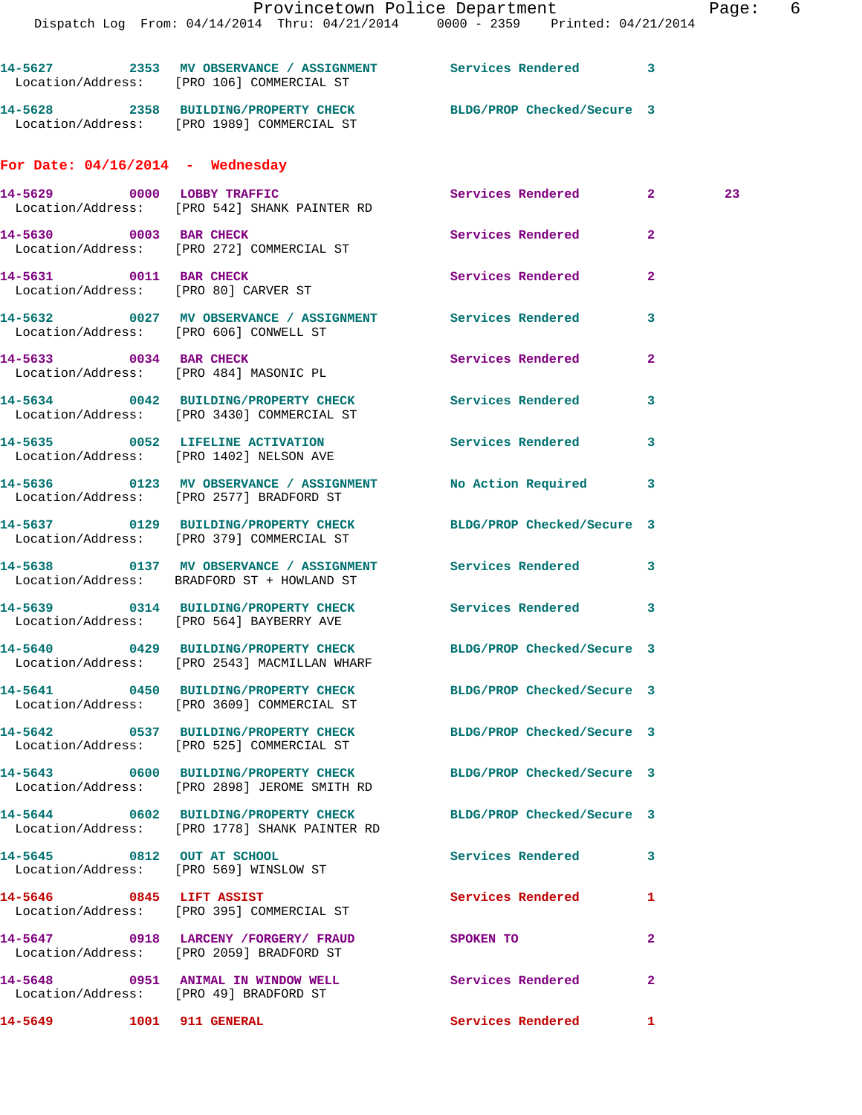**14-5627 2353 MV OBSERVANCE / ASSIGNMENT Services Rendered 3**  Location/Address: [PRO 106] COMMERCIAL ST **14-5628 2358 BUILDING/PROPERTY CHECK BLDG/PROP Checked/Secure 3** 

## **For Date: 04/16/2014 - Wednesday**

Location/Address: [PRO 1989] COMMERCIAL ST

|                                        | 14-5629 0000 LOBBY TRAFFIC<br>Location/Address: [PRO 542] SHANK PAINTER RD                                      | Services Rendered 2        | 23           |  |
|----------------------------------------|-----------------------------------------------------------------------------------------------------------------|----------------------------|--------------|--|
|                                        | 14-5630 0003 BAR CHECK<br>Location/Address: [PRO 272] COMMERCIAL ST                                             | Services Rendered          | $\mathbf{2}$ |  |
| 14-5631 0011 BAR CHECK                 | Location/Address: [PRO 80] CARVER ST                                                                            | Services Rendered          | $\mathbf{2}$ |  |
| Location/Address: [PRO 606] CONWELL ST | 14-5632 0027 MV OBSERVANCE / ASSIGNMENT Services Rendered                                                       |                            | 3            |  |
| 14-5633 0034 BAR CHECK                 | Location/Address: [PRO 484] MASONIC PL                                                                          | Services Rendered          | $\mathbf{2}$ |  |
|                                        | 14-5634 0042 BUILDING/PROPERTY CHECK<br>Location/Address: [PRO 3430] COMMERCIAL ST                              | Services Rendered          | 3            |  |
|                                        | 14-5635 0052 LIFELINE ACTIVATION<br>Location/Address: [PRO 1402] NELSON AVE                                     | Services Rendered          | 3            |  |
|                                        | 14-5636 0123 MV OBSERVANCE / ASSIGNMENT No Action Required 3<br>Location/Address: [PRO 2577] BRADFORD ST        |                            |              |  |
|                                        | 14-5637 0129 BUILDING/PROPERTY CHECK<br>Location/Address: [PRO 379] COMMERCIAL ST                               | BLDG/PROP Checked/Secure 3 |              |  |
|                                        | 14-5638 0137 MV OBSERVANCE / ASSIGNMENT Services Rendered 3<br>Location/Address: BRADFORD ST + HOWLAND ST       |                            |              |  |
|                                        | 14-5639 0314 BUILDING/PROPERTY CHECK Services Rendered 3<br>Location/Address: [PRO 564] BAYBERRY AVE            |                            |              |  |
|                                        | 14-5640 0429 BUILDING/PROPERTY CHECK BLDG/PROP Checked/Secure 3<br>Location/Address: [PRO 2543] MACMILLAN WHARF |                            |              |  |
|                                        | 14-5641 0450 BUILDING/PROPERTY CHECK BLDG/PROP Checked/Secure 3<br>Location/Address: [PRO 3609] COMMERCIAL ST   |                            |              |  |
|                                        | 14-5642 0537 BUILDING/PROPERTY CHECK BLDG/PROP Checked/Secure 3<br>Location/Address: [PRO 525] COMMERCIAL ST    |                            |              |  |
|                                        | 14-5643 0600 BUILDING/PROPERTY CHECK BLDG/PROP Checked/Secure 3<br>Location/Address: [PRO 2898] JEROME SMITH RD |                            |              |  |
|                                        | 14-5644 0602 BUILDING/PROPERTY CHECK<br>Location/Address: [PRO 1778] SHANK PAINTER RD                           | BLDG/PROP Checked/Secure 3 |              |  |
| 14-5645 0812 OUT AT SCHOOL             | Location/Address: [PRO 569] WINSLOW ST                                                                          | Services Rendered          | 3            |  |
| 14-5646 0845 LIFT ASSIST               | Location/Address: [PRO 395] COMMERCIAL ST                                                                       | Services Rendered          | 1            |  |
|                                        | 14-5647 0918 LARCENY /FORGERY/ FRAUD<br>Location/Address: [PRO 2059] BRADFORD ST                                | <b>SPOKEN TO</b>           | $\mathbf{2}$ |  |
| Location/Address: [PRO 49] BRADFORD ST | 14-5648 0951 ANIMAL IN WINDOW WELL                                                                              | Services Rendered          | $\mathbf{2}$ |  |
| 14-5649 1001 911 GENERAL               |                                                                                                                 | Services Rendered          | $\mathbf{1}$ |  |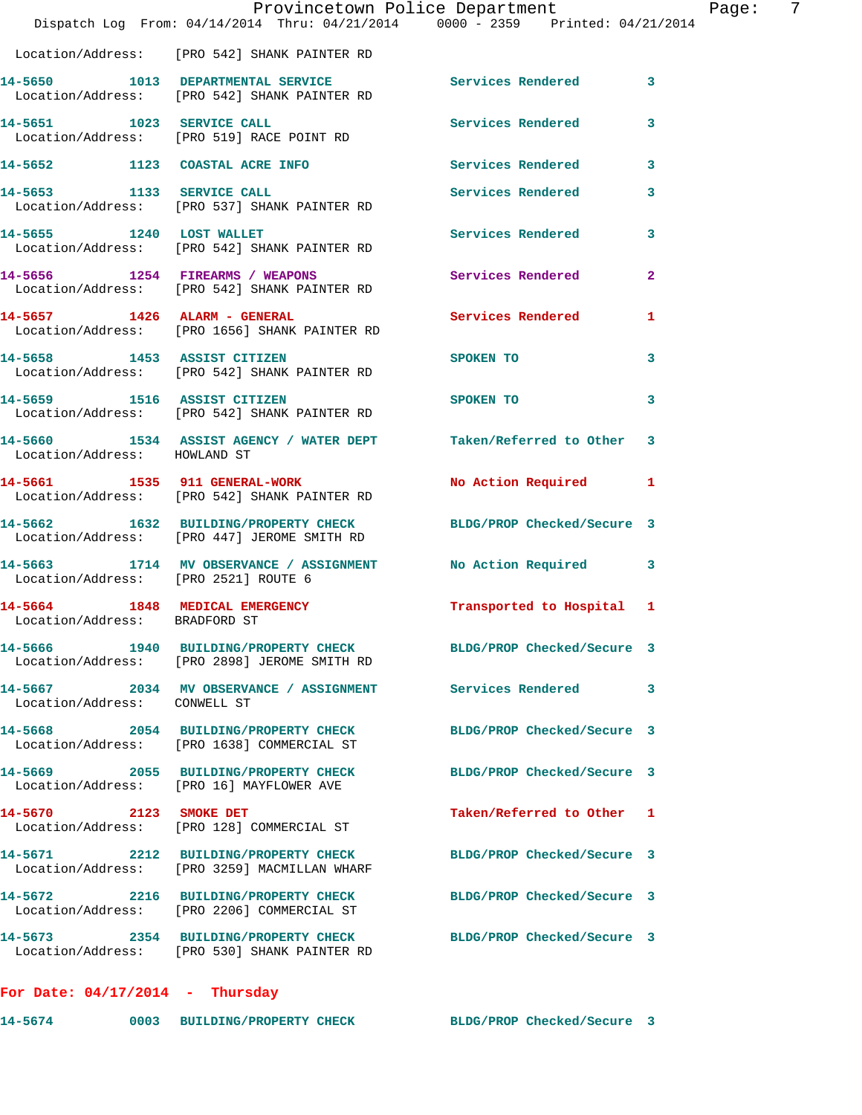|                                      | Dispatch Log From: 04/14/2014 Thru: 04/21/2014 0000 - 2359 Printed: 04/21/2014                                  | Provincetown Police Department | Page: 7        |
|--------------------------------------|-----------------------------------------------------------------------------------------------------------------|--------------------------------|----------------|
|                                      | Location/Address: [PRO 542] SHANK PAINTER RD                                                                    |                                |                |
|                                      | 14-5650 1013 DEPARTMENTAL SERVICE Services Rendered 3<br>Location/Address: [PRO 542] SHANK PAINTER RD           |                                |                |
|                                      | 14-5651 1023 SERVICE CALL<br>Location/Address: [PRO 519] RACE POINT RD                                          | Services Rendered              | 3              |
|                                      | 14-5652 1123 COASTAL ACRE INFO Services Rendered                                                                |                                | 3              |
|                                      | 14-5653 1133 SERVICE CALL<br>Location/Address: [PRO 537] SHANK PAINTER RD                                       | <b>Services Rendered</b>       | 3              |
|                                      | 14-5655 1240 LOST WALLET<br>Location/Address: [PRO 542] SHANK PAINTER RD                                        | Services Rendered 3            |                |
|                                      | 14-5656 1254 FIREARMS / WEAPONS<br>Location/Address: [PRO 542] SHANK PAINTER RD                                 | <b>Services Rendered</b>       | $\overline{2}$ |
|                                      | 14-5657 1426 ALARM - GENERAL<br>Location/Address: [PRO 1656] SHANK PAINTER RD                                   | <b>Services Rendered</b>       | 1              |
|                                      | 14-5658 1453 ASSIST CITIZEN<br>Location/Address: [PRO 542] SHANK PAINTER RD                                     | SPOKEN TO                      | 3              |
|                                      | 14-5659                 1516    ASSIST CITIZEN<br>Location/Address:     [PRO 542] SHANK PAINTER RD              | SPOKEN TO                      | 3              |
|                                      | 14-5660 1534 ASSIST AGENCY / WATER DEPT Taken/Referred to Other 3<br>Location/Address: HOWLAND ST               |                                |                |
|                                      | 14-5661 1535 911 GENERAL-WORK<br>Location/Address: [PRO 542] SHANK PAINTER RD                                   | <b>No Action Required</b>      | 1              |
|                                      | 14-5662 1632 BUILDING/PROPERTY CHECK BLDG/PROP Checked/Secure 3<br>Location/Address: [PRO 447] JEROME SMITH RD  |                                |                |
| Location/Address: [PRO 2521] ROUTE 6 | 14-5663 1714 MV OBSERVANCE / ASSIGNMENT No Action Required                                                      |                                | 3              |
| Location/Address: BRADFORD ST        | 14-5664 1848 MEDICAL EMERGENCY                                                                                  | Transported to Hospital 1      |                |
|                                      | 14-5666 1940 BUILDING/PROPERTY CHECK BLDG/PROP Checked/Secure 3<br>Location/Address: [PRO 2898] JEROME SMITH RD |                                |                |
| Location/Address: CONWELL ST         | 14-5667 2034 MV OBSERVANCE / ASSIGNMENT Services Rendered                                                       |                                | 3              |
|                                      | 14-5668 2054 BUILDING/PROPERTY CHECK<br>Location/Address: [PRO 1638] COMMERCIAL ST                              | BLDG/PROP Checked/Secure 3     |                |
|                                      | 14-5669 2055 BUILDING/PROPERTY CHECK<br>Location/Address: [PRO 16] MAYFLOWER AVE                                | BLDG/PROP Checked/Secure 3     |                |
| 14-5670 2123 SMOKE DET               | Location/Address: [PRO 128] COMMERCIAL ST                                                                       | Taken/Referred to Other 1      |                |
|                                      |                                                                                                                 | BLDG/PROP Checked/Secure 3     |                |
|                                      | 14-5672 2216 BUILDING/PROPERTY CHECK<br>Location/Address: [PRO 2206] COMMERCIAL ST                              | BLDG/PROP Checked/Secure 3     |                |
|                                      | 14-5673 2354 BUILDING/PROPERTY CHECK BLDG/PROP Checked/Secure 3<br>Location/Address: [PRO 530] SHANK PAINTER RD |                                |                |
| For Date: $04/17/2014$ - Thursday    |                                                                                                                 |                                |                |

**14-5674 0003 BUILDING/PROPERTY CHECK BLDG/PROP Checked/Secure 3**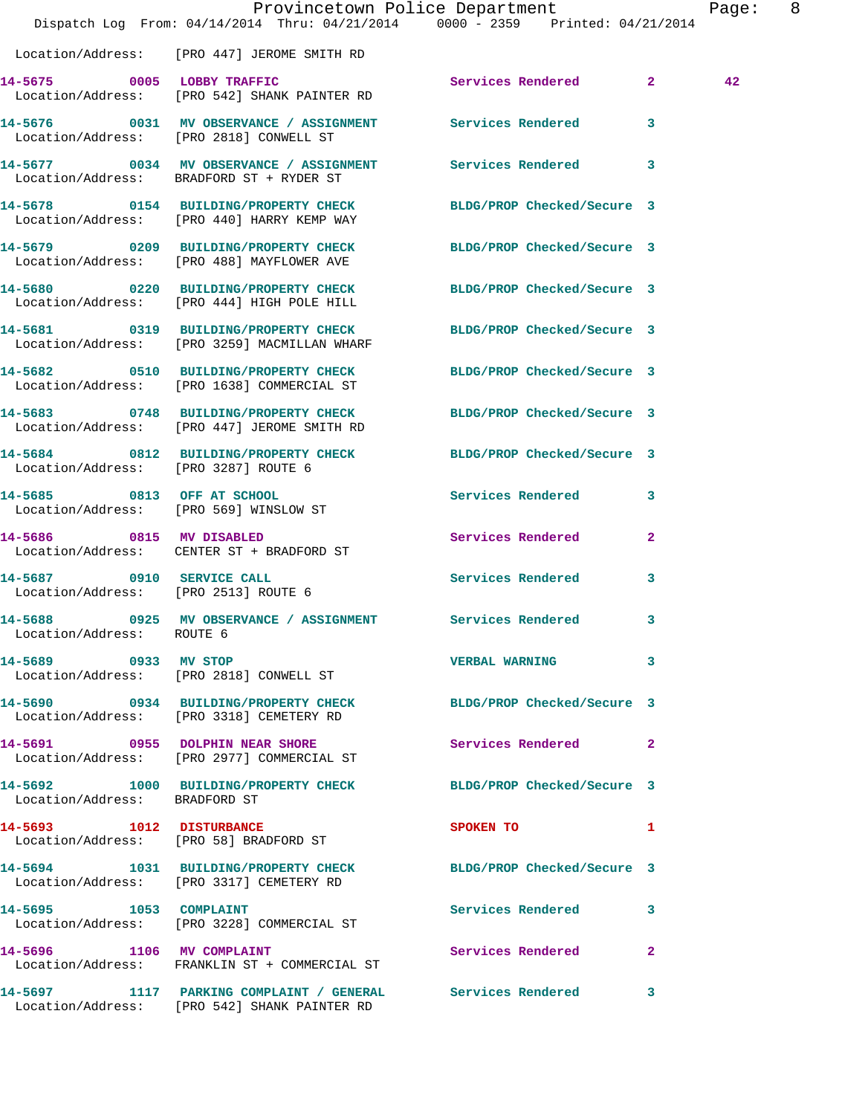|                                                                   | Dispatch Log From: 04/14/2014 Thru: 04/21/2014 0000 - 2359 Printed: 04/21/2014                               | Provincetown Police Department | Page: 8      |  |
|-------------------------------------------------------------------|--------------------------------------------------------------------------------------------------------------|--------------------------------|--------------|--|
|                                                                   | Location/Address: [PRO 447] JEROME SMITH RD                                                                  |                                |              |  |
|                                                                   | 14-5675 0005 LOBBY TRAFFIC<br>Location/Address: [PRO 542] SHANK PAINTER RD                                   | Services Rendered 2            | 42           |  |
|                                                                   | 14-5676 0031 MV OBSERVANCE / ASSIGNMENT Services Rendered 3<br>Location/Address: [PRO 2818] CONWELL ST       |                                |              |  |
|                                                                   | 14-5677 0034 MV OBSERVANCE / ASSIGNMENT Services Rendered 3<br>Location/Address: BRADFORD ST + RYDER ST      |                                |              |  |
|                                                                   | 14-5678 0154 BUILDING/PROPERTY CHECK<br>Location/Address: [PRO 440] HARRY KEMP WAY                           | BLDG/PROP Checked/Secure 3     |              |  |
|                                                                   | 14-5679 0209 BUILDING/PROPERTY CHECK<br>Location/Address: [PRO 488] MAYFLOWER AVE                            | BLDG/PROP Checked/Secure 3     |              |  |
|                                                                   | 14-5680 0220 BUILDING/PROPERTY CHECK<br>Location/Address: [PRO 444] HIGH POLE HILL                           | BLDG/PROP Checked/Secure 3     |              |  |
|                                                                   | 14-5681 0319 BUILDING/PROPERTY CHECK<br>Location/Address: [PRO 3259] MACMILLAN WHARF                         | BLDG/PROP Checked/Secure 3     |              |  |
|                                                                   | 14-5682 0510 BUILDING/PROPERTY CHECK<br>Location/Address: [PRO 1638] COMMERCIAL ST                           | BLDG/PROP Checked/Secure 3     |              |  |
|                                                                   | 14-5683 0748 BUILDING/PROPERTY CHECK<br>Location/Address: [PRO 447] JEROME SMITH RD                          | BLDG/PROP Checked/Secure 3     |              |  |
| Location/Address: [PRO 3287] ROUTE 6                              | 14-5684 0812 BUILDING/PROPERTY CHECK BLDG/PROP Checked/Secure 3                                              |                                |              |  |
| 14-5685 0813 OFF AT SCHOOL                                        | Location/Address: [PRO 569] WINSLOW ST                                                                       | Services Rendered 3            |              |  |
|                                                                   | 14-5686 0815 MV DISABLED<br>Location/Address: CENTER ST + BRADFORD ST                                        | Services Rendered              | $\mathbf{2}$ |  |
| 14-5687 0910 SERVICE CALL<br>Location/Address: [PRO 2513] ROUTE 6 |                                                                                                              | Services Rendered              | $\mathbf{3}$ |  |
| Location/Address: ROUTE 6                                         | 14-5688 6925 MV OBSERVANCE / ASSIGNMENT Services Rendered                                                    |                                | 3            |  |
| 14-5689 0933 MV STOP                                              | Location/Address: [PRO 2818] CONWELL ST                                                                      | VERBAL WARNING 3               |              |  |
|                                                                   | 14-5690 0934 BUILDING/PROPERTY CHECK BLDG/PROP Checked/Secure 3<br>Location/Address: [PRO 3318] CEMETERY RD  |                                |              |  |
|                                                                   | 14-5691 0955 DOLPHIN NEAR SHORE<br>Location/Address: [PRO 2977] COMMERCIAL ST                                | Services Rendered 2            |              |  |
| Location/Address: BRADFORD ST                                     | 14-5692 1000 BUILDING/PROPERTY CHECK BLDG/PROP Checked/Secure 3                                              |                                |              |  |
|                                                                   | 14-5693 1012 DISTURBANCE<br>Location/Address: [PRO 58] BRADFORD ST                                           | SPOKEN TO 1                    |              |  |
|                                                                   | 14-5694 1031 BUILDING/PROPERTY CHECK BLDG/PROP Checked/Secure 3<br>Location/Address: [PRO 3317] CEMETERY RD  |                                |              |  |
| 14-5695 1053 COMPLAINT                                            | Location/Address: [PRO 3228] COMMERCIAL ST                                                                   | Services Rendered 3            |              |  |
|                                                                   | 14-5696 1106 MV COMPLAINT<br>Location/Address: FRANKLIN ST + COMMERCIAL ST                                   | Services Rendered              | $\mathbf{2}$ |  |
|                                                                   | 14-5697 1117 PARKING COMPLAINT / GENERAL Services Rendered 3<br>Location/Address: [PRO 542] SHANK PAINTER RD |                                |              |  |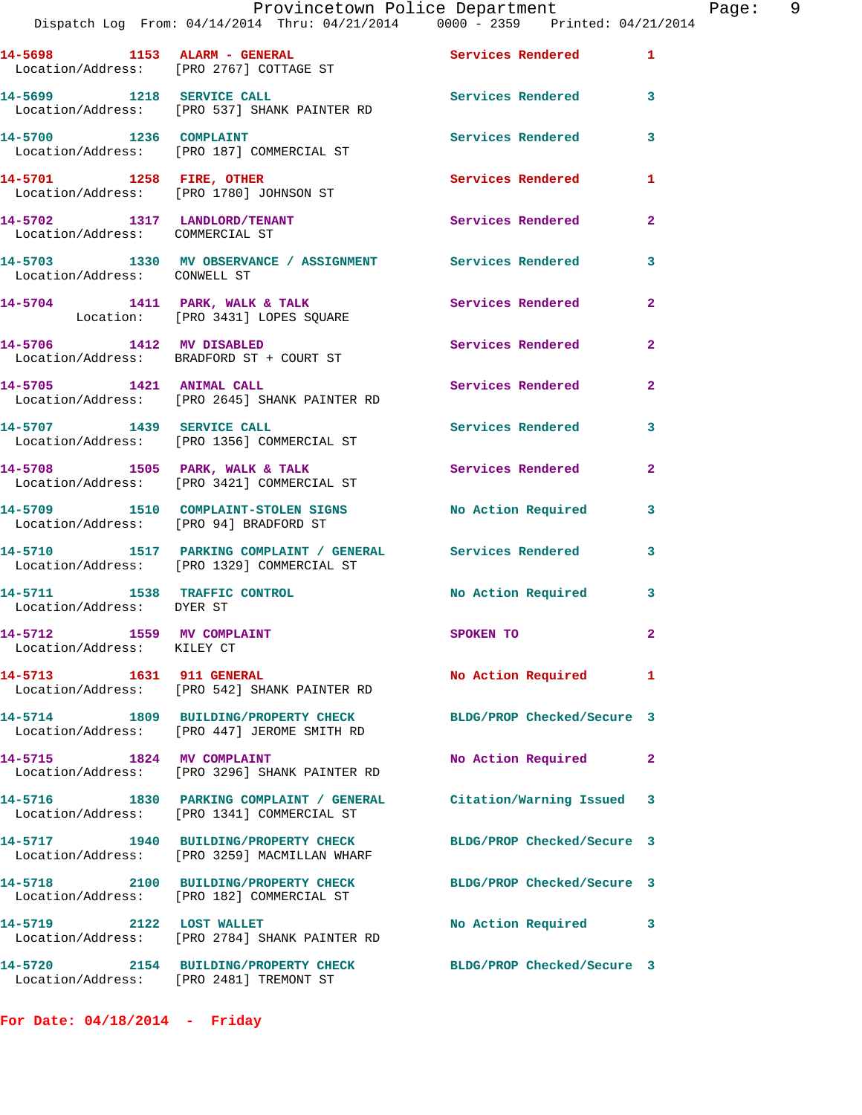|                                                         | Provincetown Police Department The Page: 9<br>Dispatch Log From: 04/14/2014 Thru: 04/21/2014   0000 - 2359   Printed: 04/21/2014 |                            |                |
|---------------------------------------------------------|----------------------------------------------------------------------------------------------------------------------------------|----------------------------|----------------|
|                                                         | 14-5698 1153 ALARM - GENERAL 1 Services Rendered 1<br>Location/Address: [PRO 2767] COTTAGE ST                                    |                            |                |
|                                                         | 14-5699 1218 SERVICE CALL<br>Location/Address: [PRO 537] SHANK PAINTER RD                                                        | Services Rendered 3        |                |
|                                                         | 14-5700 1236 COMPLAINT<br>Location/Address: [PRO 187] COMMERCIAL ST                                                              | <b>Services Rendered</b>   | $\mathbf{3}$   |
|                                                         | 14-5701 1258 FIRE, OTHER<br>Location/Address: [PRO 1780] JOHNSON ST Services Rendered 1                                          |                            |                |
|                                                         | 14-5702 1317 LANDLORD/TENANT Services Rendered<br>Location/Address: COMMERCIAL ST                                                |                            | $\mathbf{2}$   |
| Location/Address: CONWELL ST                            | 14-5703 1330 MV OBSERVANCE / ASSIGNMENT Services Rendered                                                                        |                            | 3              |
|                                                         | 14-5704 1411 PARK, WALK & TALK CONSERVANCE SERVICES Rendered Location: [PRO 3431] LOPES SQUARE                                   |                            | $\overline{2}$ |
|                                                         | 14-5706 1412 MV DISABLED<br>Location/Address: BRADFORD ST + COURT ST                                                             | Services Rendered          | $\mathbf{2}$   |
|                                                         | 14-5705 1421 ANIMAL CALL<br>Location/Address: [PRO 2645] SHANK PAINTER RD                                                        | Services Rendered 2        |                |
|                                                         | 14-5707 1439 SERVICE CALL<br>Location/Address: [PRO 1356] COMMERCIAL ST                                                          | <b>Services Rendered</b>   | 3              |
|                                                         | 14-5708 1505 PARK, WALK & TALK 1988 Services Rendered<br>Location/Address: [PRO 3421] COMMERCIAL ST                              |                            | $\overline{2}$ |
|                                                         | 14-5709 1510 COMPLAINT-STOLEN SIGNS No Action Required 3<br>Location/Address: [PRO 94] BRADFORD ST                               |                            |                |
|                                                         | 14-5710 1517 PARKING COMPLAINT / GENERAL Services Rendered 3<br>Location/Address: [PRO 1329] COMMERCIAL ST                       |                            |                |
| Location/Address: DYER ST                               | 14-5711 1538 TRAFFIC CONTROL 11 No Action Required 3                                                                             |                            |                |
| 14-5712 1559 MV COMPLAINT<br>Location/Address: KILEY CT |                                                                                                                                  | <b>SPOKEN TO</b>           |                |
| 14-5713 1631 911 GENERAL                                | Location/Address: [PRO 542] SHANK PAINTER RD                                                                                     | No Action Required 1       |                |
|                                                         | 14-5714 1809 BUILDING/PROPERTY CHECK BLDG/PROP Checked/Secure 3<br>Location/Address: [PRO 447] JEROME SMITH RD                   |                            |                |
|                                                         | 14-5715 1824 MV COMPLAINT<br>Location/Address: [PRO 3296] SHANK PAINTER RD                                                       | No Action Required         | 2              |
|                                                         | 14-5716 1830 PARKING COMPLAINT / GENERAL Citation/Warning Issued 3<br>Location/Address: [PRO 1341] COMMERCIAL ST                 |                            |                |
|                                                         | 14-5717 1940 BUILDING/PROPERTY CHECK<br>Location/Address: [PRO 3259] MACMILLAN WHARF                                             | BLDG/PROP Checked/Secure 3 |                |
|                                                         | 14-5718 2100 BUILDING/PROPERTY CHECK BLDG/PROP Checked/Secure 3<br>Location/Address: [PRO 182] COMMERCIAL ST                     |                            |                |
|                                                         | 14-5719 2122 LOST WALLET<br>Location/Address: [PRO 2784] SHANK PAINTER RD                                                        | No Action Required         | 3              |
|                                                         | 14-5720 2154 BUILDING/PROPERTY CHECK BLDG/PROP Checked/Secure 3<br>Location/Address: [PRO 2481] TREMONT ST                       |                            |                |

**For Date: 04/18/2014 - Friday**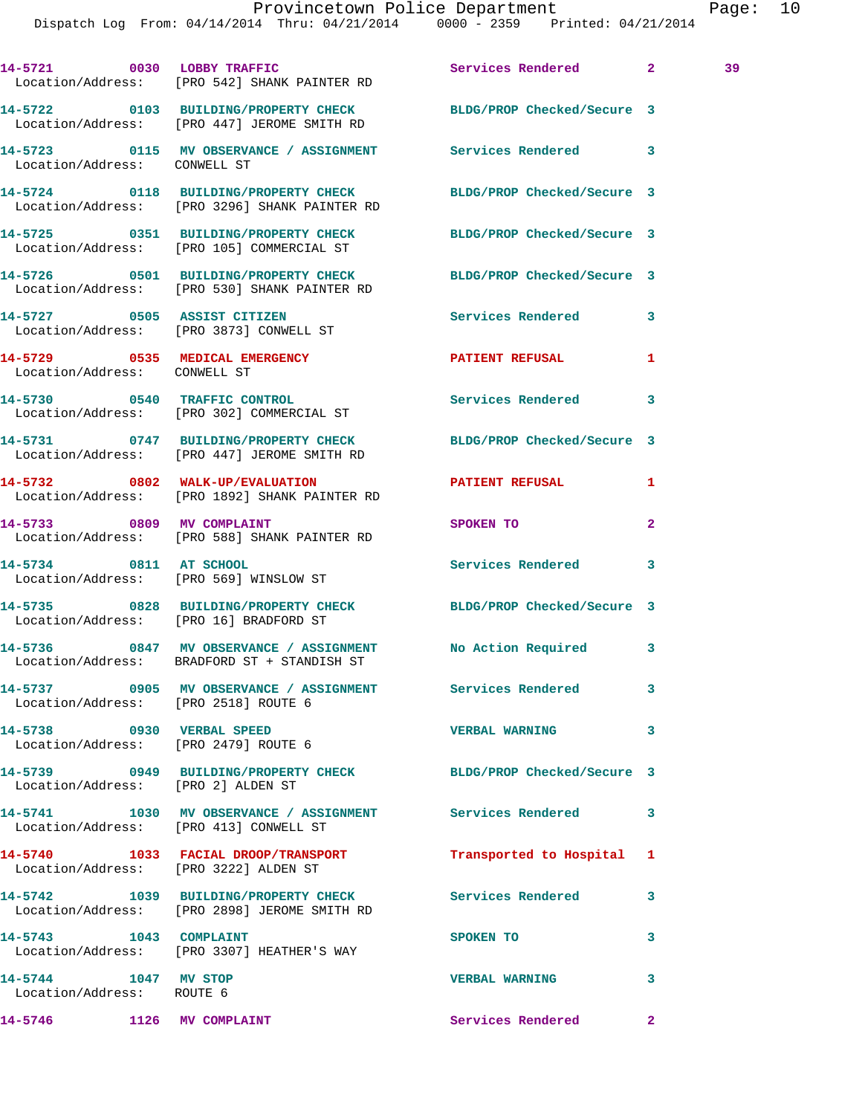Dispatch Log From: 04/14/2014 Thru: 04/21/2014 0000 - 2359 Printed: 04/21/2014

**14-5721 0030 LOBBY TRAFFIC Services Rendered 2 39**  Location/Address: [PRO 542] SHANK PAINTER RD **14-5722 0103 BUILDING/PROPERTY CHECK BLDG/PROP Checked/Secure 3**  Location/Address: [PRO 447] JEROME SMITH RD **14-5723 0115 MV OBSERVANCE / ASSIGNMENT Services Rendered 3**  Location/Address: CONWELL ST **14-5724 0118 BUILDING/PROPERTY CHECK BLDG/PROP Checked/Secure 3**  Location/Address: [PRO 3296] SHANK PAINTER RD **14-5725 0351 BUILDING/PROPERTY CHECK BLDG/PROP Checked/Secure 3**  Location/Address: [PRO 105] COMMERCIAL ST **14-5726 0501 BUILDING/PROPERTY CHECK BLDG/PROP Checked/Secure 3**  Location/Address: [PRO 530] SHANK PAINTER RD **14-5727 0505 ASSIST CITIZEN Services Rendered 3**  Location/Address: [PRO 3873] CONWELL ST **14-5729 0535 MEDICAL EMERGENCY PATIENT REFUSAL 1**  Location/Address: CONWELL ST **14-5730 0540 TRAFFIC CONTROL Services Rendered 3**  Location/Address: [PRO 302] COMMERCIAL ST **14-5731 0747 BUILDING/PROPERTY CHECK BLDG/PROP Checked/Secure 3**  Location/Address: [PRO 447] JEROME SMITH RD **14-5732 0802 WALK-UP/EVALUATION PATIENT REFUSAL 1**  Location/Address: [PRO 1892] SHANK PAINTER RD **14-5733 0809 MV COMPLAINT SPOKEN TO 2**  Location/Address: [PRO 588] SHANK PAINTER RD **14-5734 0811 AT SCHOOL Services Rendered 3**  Location/Address: [PRO 569] WINSLOW ST **14-5735 0828 BUILDING/PROPERTY CHECK BLDG/PROP Checked/Secure 3**  Location/Address: [PRO 16] BRADFORD ST **14-5736 0847 MV OBSERVANCE / ASSIGNMENT No Action Required 3**  Location/Address: BRADFORD ST + STANDISH ST **14-5737 0905 MV OBSERVANCE / ASSIGNMENT Services Rendered 3**  Location/Address: [PRO 2518] ROUTE 6 **14-5738 0930 VERBAL SPEED VERBAL WARNING 3**  Location/Address: [PRO 2479] ROUTE 6 **14-5739 0949 BUILDING/PROPERTY CHECK BLDG/PROP Checked/Secure 3**  Location/Address: [PRO 2] ALDEN ST **14-5741 1030 MV OBSERVANCE / ASSIGNMENT Services Rendered 3**  Location/Address: [PRO 413] CONWELL ST **14-5740 1033 FACIAL DROOP/TRANSPORT Transported to Hospital 1**  Location/Address: [PRO 3222] ALDEN ST **14-5742 1039 BUILDING/PROPERTY CHECK Services Rendered 3**  Location/Address: [PRO 2898] JEROME SMITH RD **14-5743 1043 COMPLAINT SPOKEN TO 3**  Location/Address: [PRO 3307] HEATHER'S WAY **14-5744 1047 MV STOP VERBAL WARNING 3**  Location/Address: ROUTE 6

**14-5746 1126 MV COMPLAINT Services Rendered 2**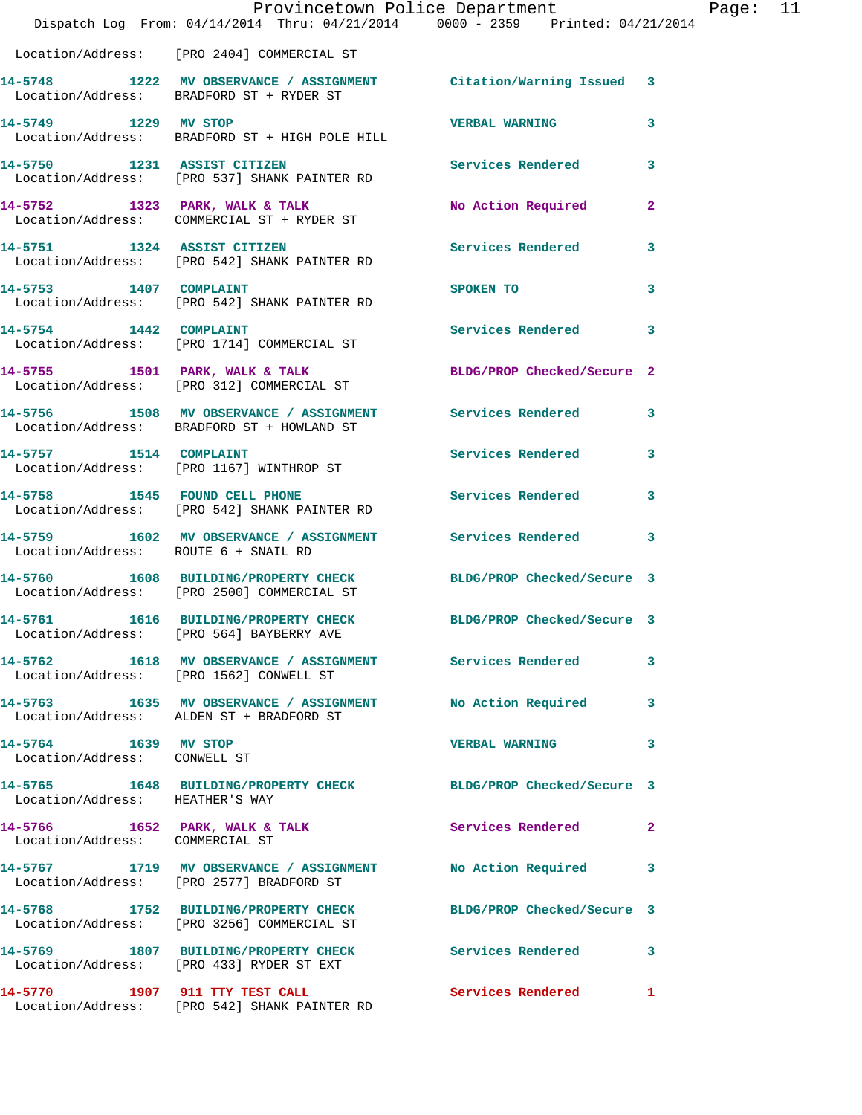|                                                                     | Provincetown Police Department<br>Dispatch Log From: 04/14/2014 Thru: 04/21/2014 0000 - 2359 Printed: 04/21/2014 |                            |              |
|---------------------------------------------------------------------|------------------------------------------------------------------------------------------------------------------|----------------------------|--------------|
|                                                                     | Location/Address: [PRO 2404] COMMERCIAL ST                                                                       |                            |              |
|                                                                     | 14-5748 1222 MV OBSERVANCE / ASSIGNMENT Citation/Warning Issued<br>Location/Address: BRADFORD ST + RYDER ST      |                            | 3            |
| 14-5749 1229 MV STOP                                                | Location/Address: BRADFORD ST + HIGH POLE HILL                                                                   | <b>VERBAL WARNING</b>      | 3            |
|                                                                     | 14-5750 1231 ASSIST CITIZEN<br>Location/Address: [PRO 537] SHANK PAINTER RD                                      | Services Rendered          | 3            |
|                                                                     | 14-5752 1323 PARK, WALK & TALK<br>Location/Address: COMMERCIAL ST + RYDER ST                                     | No Action Required         | 2            |
|                                                                     | 14-5751 1324 ASSIST CITIZEN<br>Location/Address: [PRO 542] SHANK PAINTER RD                                      | <b>Services Rendered</b>   | 3            |
| 14-5753 1407 COMPLAINT                                              | Location/Address: [PRO 542] SHANK PAINTER RD                                                                     | SPOKEN TO                  | 3            |
| 14-5754 1442 COMPLAINT                                              | Location/Address: [PRO 1714] COMMERCIAL ST                                                                       | <b>Services Rendered</b>   | 3            |
|                                                                     | 14-5755 1501 PARK, WALK & TALK<br>Location/Address: [PRO 312] COMMERCIAL ST                                      | BLDG/PROP Checked/Secure 2 |              |
|                                                                     | 14-5756 1508 MV OBSERVANCE / ASSIGNMENT Services Rendered<br>Location/Address: BRADFORD ST + HOWLAND ST          |                            | 3            |
|                                                                     | 14-5757 1514 COMPLAINT<br>Location/Address: [PRO 1167] WINTHROP ST                                               | <b>Services Rendered</b>   | 3            |
| 14-5758 1545 FOUND CELL PHONE                                       | Location/Address: [PRO 542] SHANK PAINTER RD                                                                     | <b>Services Rendered</b>   | 3            |
| Location/Address: ROUTE 6 + SNAIL RD                                | 14-5759 1602 MV OBSERVANCE / ASSIGNMENT Services Rendered                                                        |                            | 3            |
|                                                                     | 14-5760 1608 BUILDING/PROPERTY CHECK BLDG/PROP Checked/Secure 3<br>Location/Address: [PRO 2500] COMMERCIAL ST    |                            |              |
| 14-5761                                                             | 1616 BUILDING/PROPERTY CHECK<br>Location/Address: [PRO 564] BAYBERRY AVE                                         | BLDG/PROP Checked/Secure 3 |              |
|                                                                     | 14-5762 1618 MV OBSERVANCE / ASSIGNMENT Services Rendered<br>Location/Address: [PRO 1562] CONWELL ST             |                            | 3            |
|                                                                     | 14-5763 1635 MV OBSERVANCE / ASSIGNMENT No Action Required<br>Location/Address: ALDEN ST + BRADFORD ST           |                            | 3            |
| 14-5764 1639 MV STOP<br>Location/Address: CONWELL ST                |                                                                                                                  | <b>VERBAL WARNING</b>      | 3            |
| Location/Address: HEATHER'S WAY                                     | 14-5765 1648 BUILDING/PROPERTY CHECK BLDG/PROP Checked/Secure 3                                                  |                            |              |
| $14-5766$ 1652 PARK, WALK & TALK<br>Location/Address: COMMERCIAL ST |                                                                                                                  | <b>Services Rendered</b>   | $\mathbf{2}$ |
|                                                                     | 14-5767 1719 MV OBSERVANCE / ASSIGNMENT<br>Location/Address: [PRO 2577] BRADFORD ST                              | No Action Required         | 3            |
|                                                                     | 14-5768 1752 BUILDING/PROPERTY CHECK BLDG/PROP Checked/Secure 3<br>Location/Address: [PRO 3256] COMMERCIAL ST    |                            |              |
|                                                                     | 14-5769 1807 BUILDING/PROPERTY CHECK<br>Location/Address: [PRO 433] RYDER ST EXT                                 | <b>Services Rendered</b>   | 3            |
| 14-5770 1907 911 TTY TEST CALL                                      | Location/Address: [PRO 542] SHANK PAINTER RD                                                                     | Services Rendered          | 1            |

Page: 11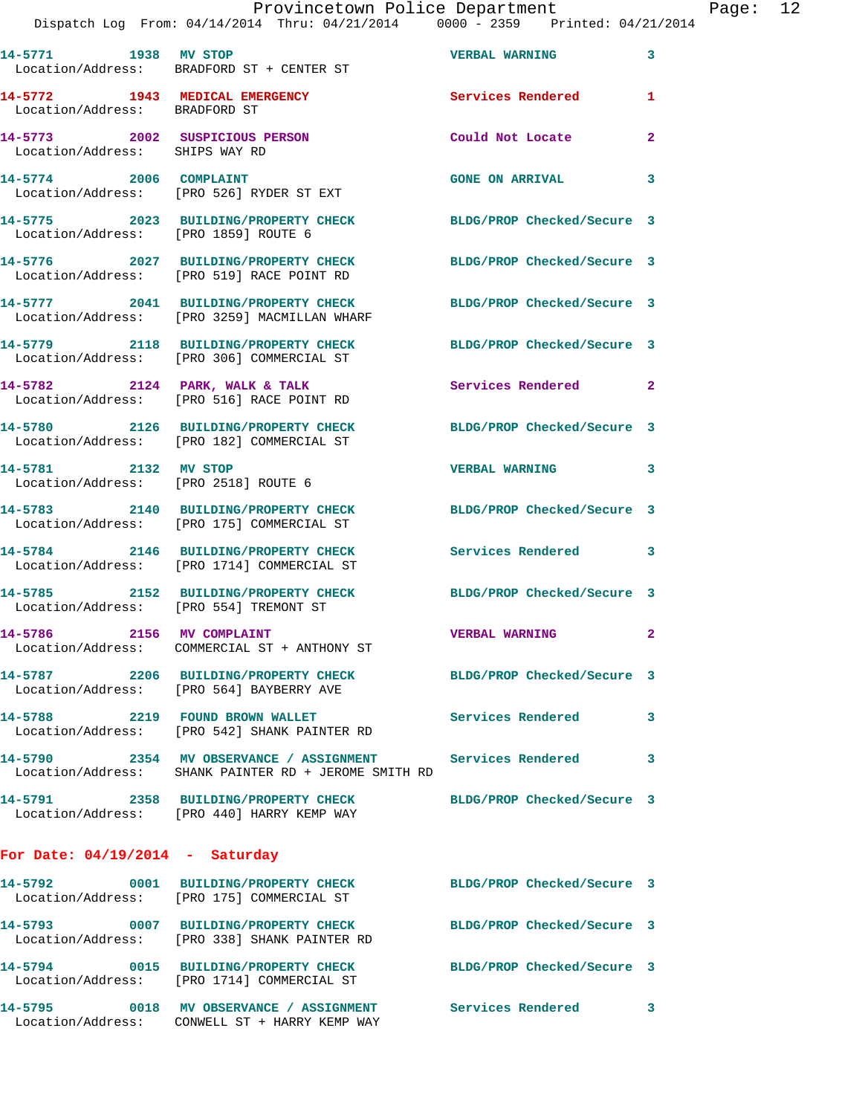|                                        | Provincetown Police Department<br>Dispatch Log From: 04/14/2014 Thru: 04/21/2014 0000 - 2359 Printed: 04/21/2014  |                            |              | Page: 12 |  |
|----------------------------------------|-------------------------------------------------------------------------------------------------------------------|----------------------------|--------------|----------|--|
|                                        | 14-5771 1938 MV STOP<br>Location/Address: BRADFORD ST + CENTER ST                                                 | <b>VERBAL WARNING</b> 3    |              |          |  |
| Location/Address: BRADFORD ST          | 14-5772 1943 MEDICAL EMERGENCY Services Rendered                                                                  |                            | 1            |          |  |
|                                        |                                                                                                                   | Could Not Locate           | $\mathbf{2}$ |          |  |
|                                        | 14-5774 2006 COMPLAINT<br>Location/Address: [PRO 526] RYDER ST EXT                                                | <b>GONE ON ARRIVAL</b>     | 3            |          |  |
| Location/Address: [PRO 1859] ROUTE 6   | 14-5775 2023 BUILDING/PROPERTY CHECK BLDG/PROP Checked/Secure 3                                                   |                            |              |          |  |
|                                        | 14-5776 2027 BUILDING/PROPERTY CHECK BLDG/PROP Checked/Secure 3<br>Location/Address: [PRO 519] RACE POINT RD      |                            |              |          |  |
|                                        | 14-5777 2041 BUILDING/PROPERTY CHECK BLDG/PROP Checked/Secure 3<br>Location/Address: [PRO 3259] MACMILLAN WHARF   |                            |              |          |  |
|                                        | 14-5779 2118 BUILDING/PROPERTY CHECK BLDG/PROP Checked/Secure 3<br>Location/Address: [PRO 306] COMMERCIAL ST      |                            |              |          |  |
|                                        | 14-5782 2124 PARK, WALK & TALK<br>Location/Address: [PRO 516] RACE POINT RD                                       | Services Rendered 2        |              |          |  |
|                                        | 14-5780 2126 BUILDING/PROPERTY CHECK BLDG/PROP Checked/Secure 3<br>Location/Address: [PRO 182] COMMERCIAL ST      |                            |              |          |  |
| 14-5781 2132 MV STOP                   | Location/Address: [PRO 2518] ROUTE 6                                                                              | VERBAL WARNING 3           |              |          |  |
|                                        | 14-5783 2140 BUILDING/PROPERTY CHECK BLDG/PROP Checked/Secure 3<br>Location/Address: [PRO 175] COMMERCIAL ST      |                            |              |          |  |
|                                        | 14-5784 2146 BUILDING/PROPERTY CHECK<br>Location/Address: [PRO 1714] COMMERCIAL ST                                | Services Rendered 3        |              |          |  |
| Location/Address: [PRO 554] TREMONT ST | 14-5785 2152 BUILDING/PROPERTY CHECK BLDG/PROP Checked/Secure 3                                                   |                            |              |          |  |
| 14-5786 2156 MV COMPLAINT              | Location/Address: COMMERCIAL ST + ANTHONY ST                                                                      | VERBAL WARNING 2           |              |          |  |
|                                        | 14-5787 2206 BUILDING/PROPERTY CHECK BLDG/PROP Checked/Secure 3<br>Location/Address: [PRO 564] BAYBERRY AVE       |                            |              |          |  |
|                                        | 14-5788 2219 FOUND BROWN WALLET<br>Location/Address: [PRO 542] SHANK PAINTER RD                                   | <b>Services Rendered</b> 3 |              |          |  |
|                                        | 14-5790 2354 MV OBSERVANCE / ASSIGNMENT Services Rendered<br>Location/Address: SHANK PAINTER RD + JEROME SMITH RD |                            | 3            |          |  |
|                                        | 14-5791 2358 BUILDING/PROPERTY CHECK<br>Location/Address: [PRO 440] HARRY KEMP WAY                                | BLDG/PROP Checked/Secure 3 |              |          |  |
| For Date: $04/19/2014$ - Saturday      |                                                                                                                   |                            |              |          |  |
|                                        | 14-5792 0001 BUILDING/PROPERTY CHECK<br>Location/Address: [PRO 175] COMMERCIAL ST                                 | BLDG/PROP Checked/Secure 3 |              |          |  |
|                                        | 14-5793 0007 BUILDING/PROPERTY CHECK BLDG/PROP Checked/Secure 3<br>Location/Address: [PRO 338] SHANK PAINTER RD   |                            |              |          |  |
|                                        | 14-5794 0015 BUILDING/PROPERTY CHECK BLDG/PROP Checked/Secure 3<br>Location/Address: [PRO 1714] COMMERCIAL ST     |                            |              |          |  |
|                                        |                                                                                                                   | Services Rendered 3        |              |          |  |

Location/Address: CONWELL ST + HARRY KEMP WAY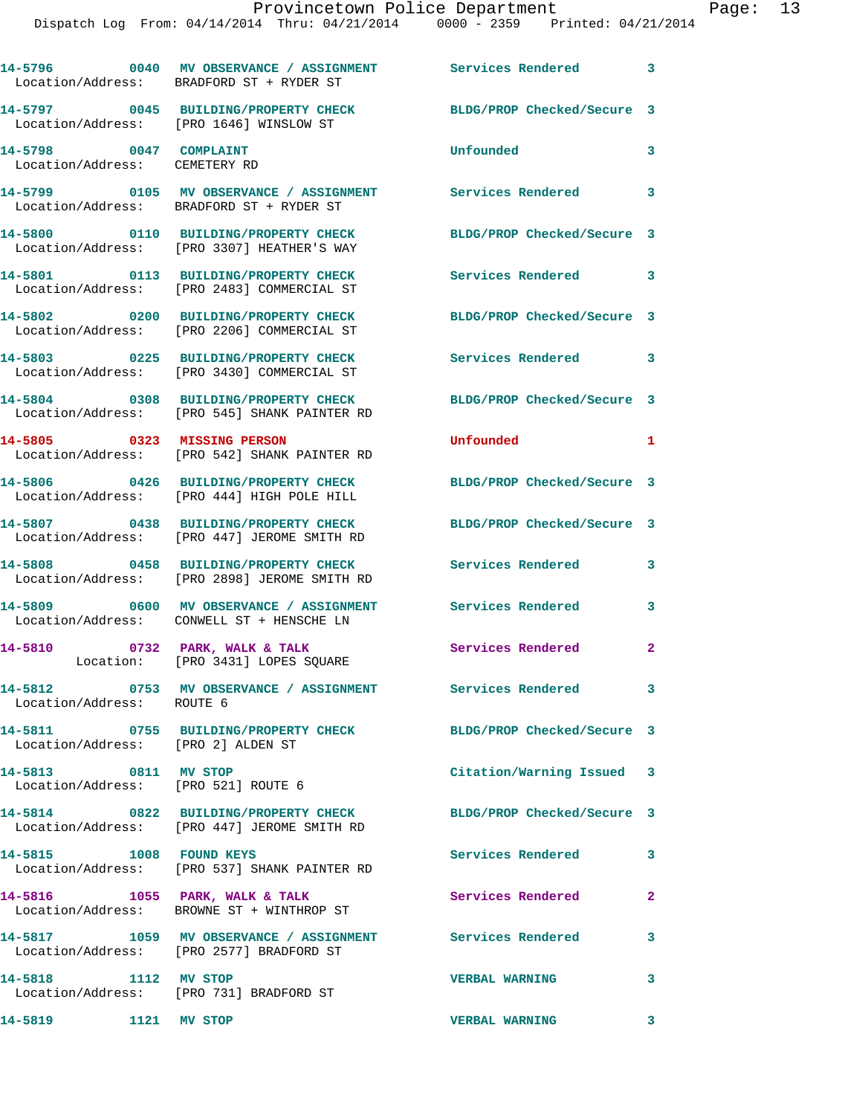|                                                             | 14-5796 0040 MV OBSERVANCE / ASSIGNMENT Services Rendered<br>Location/Address: BRADFORD ST + RYDER ST |                            | $\overline{\phantom{a}}$ 3 |
|-------------------------------------------------------------|-------------------------------------------------------------------------------------------------------|----------------------------|----------------------------|
|                                                             | 14-5797 0045 BUILDING/PROPERTY CHECK<br>Location/Address: [PRO 1646] WINSLOW ST                       | BLDG/PROP Checked/Secure 3 |                            |
| 14-5798 0047 COMPLAINT<br>Location/Address: CEMETERY RD     |                                                                                                       | Unfounded                  | 3                          |
|                                                             | 14-5799 0105 MV OBSERVANCE / ASSIGNMENT<br>Location/Address: BRADFORD ST + RYDER ST                   | Services Rendered 3        |                            |
|                                                             | 14-5800 0110 BUILDING/PROPERTY CHECK<br>Location/Address: [PRO 3307] HEATHER'S WAY                    | BLDG/PROP Checked/Secure 3 |                            |
|                                                             | 14-5801 0113 BUILDING/PROPERTY CHECK<br>Location/Address: [PRO 2483] COMMERCIAL ST                    | Services Rendered          | $\overline{\phantom{a}}$ 3 |
|                                                             | 14-5802 0200 BUILDING/PROPERTY CHECK<br>Location/Address: [PRO 2206] COMMERCIAL ST                    | BLDG/PROP Checked/Secure 3 |                            |
|                                                             | 14-5803 0225 BUILDING/PROPERTY CHECK<br>Location/Address: [PRO 3430] COMMERCIAL ST                    | Services Rendered          | $\overline{\phantom{a}}$ 3 |
|                                                             | 14-5804 0308 BUILDING/PROPERTY CHECK<br>Location/Address: [PRO 545] SHANK PAINTER RD                  | BLDG/PROP Checked/Secure 3 |                            |
| 14-5805 0323 MISSING PERSON                                 | Location/Address: [PRO 542] SHANK PAINTER RD                                                          | Unfounded                  | 1                          |
|                                                             | 14-5806 0426 BUILDING/PROPERTY CHECK<br>Location/Address: [PRO 444] HIGH POLE HILL                    | BLDG/PROP Checked/Secure 3 |                            |
|                                                             | 14-5807 0438 BUILDING/PROPERTY CHECK<br>Location/Address: [PRO 447] JEROME SMITH RD                   | BLDG/PROP Checked/Secure 3 |                            |
|                                                             | 14-5808 0458 BUILDING/PROPERTY CHECK<br>Location/Address: [PRO 2898] JEROME SMITH RD                  | Services Rendered          | 3                          |
|                                                             | 14-5809 0600 MV OBSERVANCE / ASSIGNMENT<br>Location/Address: CONWELL ST + HENSCHE LN                  | <b>Services Rendered</b>   | 3                          |
| 14-5810                                                     | 0732 PARK, WALK & TALK<br>Location: [PRO 3431] LOPES SQUARE                                           | <b>Services Rendered</b>   | $\overline{2}$             |
| Location/Address: ROUTE 6                                   |                                                                                                       |                            | $\overline{\mathbf{3}}$    |
| Location/Address: [PRO 2] ALDEN ST                          |                                                                                                       | BLDG/PROP Checked/Secure 3 |                            |
| 14-5813 0811 MV STOP<br>Location/Address: [PRO 521] ROUTE 6 |                                                                                                       | Citation/Warning Issued 3  |                            |
|                                                             | 14-5814 0822 BUILDING/PROPERTY CHECK<br>Location/Address: [PRO 447] JEROME SMITH RD                   | BLDG/PROP Checked/Secure 3 |                            |
| 14-5815 1008 FOUND KEYS                                     | Location/Address: [PRO 537] SHANK PAINTER RD                                                          | Services Rendered          | 3                          |
| 14-5816 1055 PARK, WALK & TALK                              | Location/Address: BROWNE ST + WINTHROP ST                                                             | Services Rendered          | $\mathbf{2}$               |
|                                                             | 14-5817 1059 MV OBSERVANCE / ASSIGNMENT Services Rendered<br>Location/Address: [PRO 2577] BRADFORD ST |                            | 3                          |
| 14-5818 1112 MV STOP                                        | Location/Address: [PRO 731] BRADFORD ST                                                               | <b>VERBAL WARNING</b>      | $\overline{\mathbf{3}}$    |
| 14-5819 1121 MV STOP                                        |                                                                                                       | <b>VERBAL WARNING</b>      | $\mathbf{3}$               |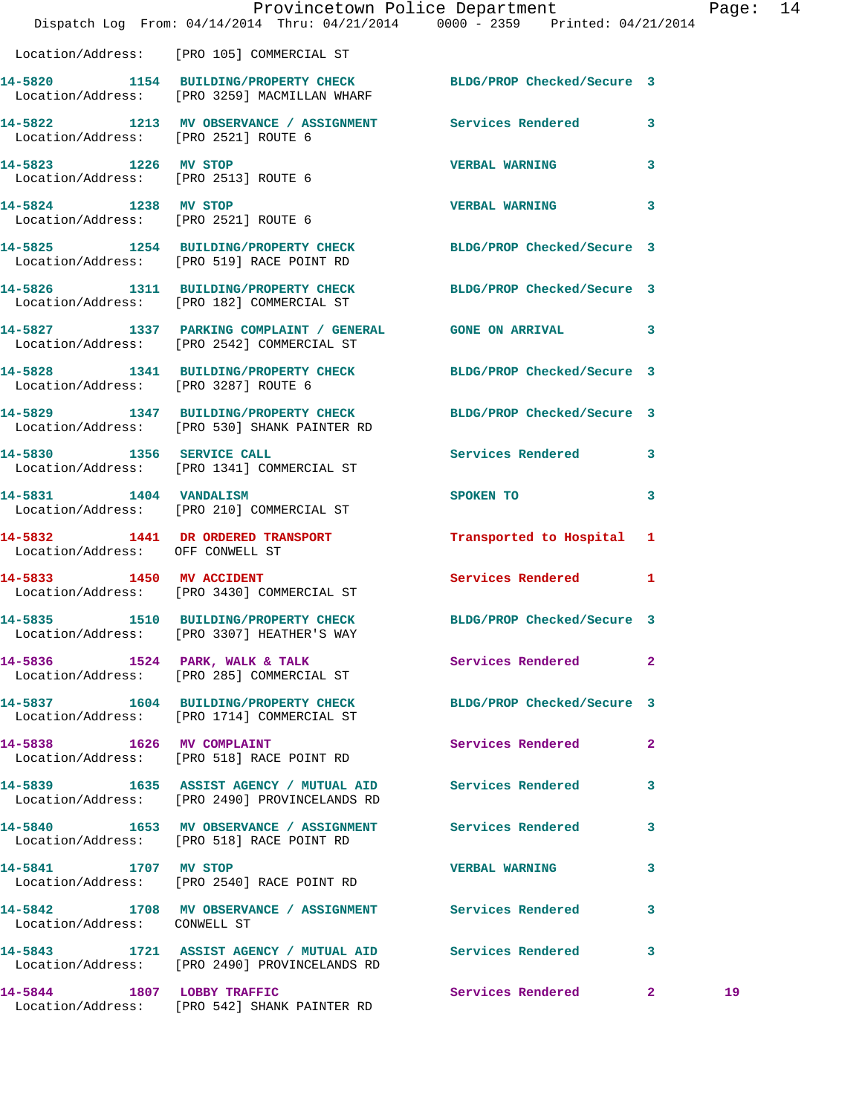|                                      | Dispatch Log From: 04/14/2014 Thru: 04/21/2014 0000 - 2359 Printed: 04/21/2014                                  | Provincetown Police Department |              | Page: 14 |  |
|--------------------------------------|-----------------------------------------------------------------------------------------------------------------|--------------------------------|--------------|----------|--|
|                                      | Location/Address: [PRO 105] COMMERCIAL ST                                                                       |                                |              |          |  |
|                                      | 14-5820 1154 BUILDING/PROPERTY CHECK BLDG/PROP Checked/Secure 3<br>Location/Address: [PRO 3259] MACMILLAN WHARF |                                |              |          |  |
| Location/Address: [PRO 2521] ROUTE 6 | 14-5822 1213 MV OBSERVANCE / ASSIGNMENT Services Rendered 3                                                     |                                |              |          |  |
| Location/Address: [PRO 2513] ROUTE 6 | 14-5823 1226 MV STOP                                                                                            | <b>VERBAL WARNING</b> 3        |              |          |  |
| 14-5824 1238 MV STOP                 | Location/Address: [PRO 2521] ROUTE 6                                                                            | VERBAL WARNING 3               |              |          |  |
|                                      | 14-5825 1254 BUILDING/PROPERTY CHECK BLDG/PROP Checked/Secure 3<br>Location/Address: [PRO 519] RACE POINT RD    |                                |              |          |  |
|                                      | 14-5826 1311 BUILDING/PROPERTY CHECK BLDG/PROP Checked/Secure 3<br>Location/Address: [PRO 182] COMMERCIAL ST    |                                |              |          |  |
|                                      | 14-5827 1337 PARKING COMPLAINT / GENERAL GONE ON ARRIVAL 3<br>Location/Address: [PRO 2542] COMMERCIAL ST        |                                |              |          |  |
|                                      | 14-5828 1341 BUILDING/PROPERTY CHECK BLDG/PROP Checked/Secure 3<br>Location/Address: [PRO 3287] ROUTE 6         |                                |              |          |  |
|                                      | 14-5829 1347 BUILDING/PROPERTY CHECK BLDG/PROP Checked/Secure 3<br>Location/Address: [PRO 530] SHANK PAINTER RD |                                |              |          |  |
|                                      | 14-5830 1356 SERVICE CALL<br>Location/Address: [PRO 1341] COMMERCIAL ST                                         | Services Rendered 3            |              |          |  |
|                                      | 14-5831 1404 VANDALISM<br>Location/Address: [PRO 210] COMMERCIAL ST                                             | SPOKEN TO                      | 3            |          |  |
| Location/Address: OFF CONWELL ST     | 14-5832 1441 DR ORDERED TRANSPORT Transported to Hospital 1                                                     |                                |              |          |  |
|                                      | 14-5833 1450 MV ACCIDENT<br>Location/Address: [PRO 3430] COMMERCIAL ST                                          | Services Rendered 1            |              |          |  |
|                                      | 14-5835 1510 BUILDING/PROPERTY CHECK BLDG/PROP Checked/Secure 3<br>Location/Address: [PRO 3307] HEATHER'S WAY   |                                |              |          |  |
|                                      | 14-5836 1524 PARK, WALK & TALK<br>Location/Address: [PRO 285] COMMERCIAL ST                                     | <b>Services Rendered</b>       | $\mathbf{2}$ |          |  |
|                                      | 14-5837 1604 BUILDING/PROPERTY CHECK BLDG/PROP Checked/Secure 3<br>Location/Address: [PRO 1714] COMMERCIAL ST   |                                |              |          |  |
|                                      | 14-5838 1626 MV COMPLAINT<br>Location/Address: [PRO 518] RACE POINT RD                                          | Services Rendered              | 2            |          |  |
|                                      | 14-5839 1635 ASSIST AGENCY / MUTUAL AID Services Rendered<br>Location/Address: [PRO 2490] PROVINCELANDS RD      |                                | 3            |          |  |
|                                      | 14-5840 1653 MV OBSERVANCE / ASSIGNMENT Services Rendered<br>Location/Address: [PRO 518] RACE POINT RD          |                                | 3            |          |  |
| 14-5841 1707 MV STOP                 | Location/Address: [PRO 2540] RACE POINT RD                                                                      | <b>VERBAL WARNING</b>          | 3            |          |  |
| Location/Address: CONWELL ST         | 14-5842 1708 MV OBSERVANCE / ASSIGNMENT Services Rendered                                                       |                                | 3            |          |  |
|                                      | 14-5843 1721 ASSIST AGENCY / MUTUAL AID Services Rendered<br>Location/Address: [PRO 2490] PROVINCELANDS RD      |                                | 3            |          |  |
| 14-5844 1807 LOBBY TRAFFIC           |                                                                                                                 | Services Rendered 2            |              | 19       |  |

Location/Address: [PRO 542] SHANK PAINTER RD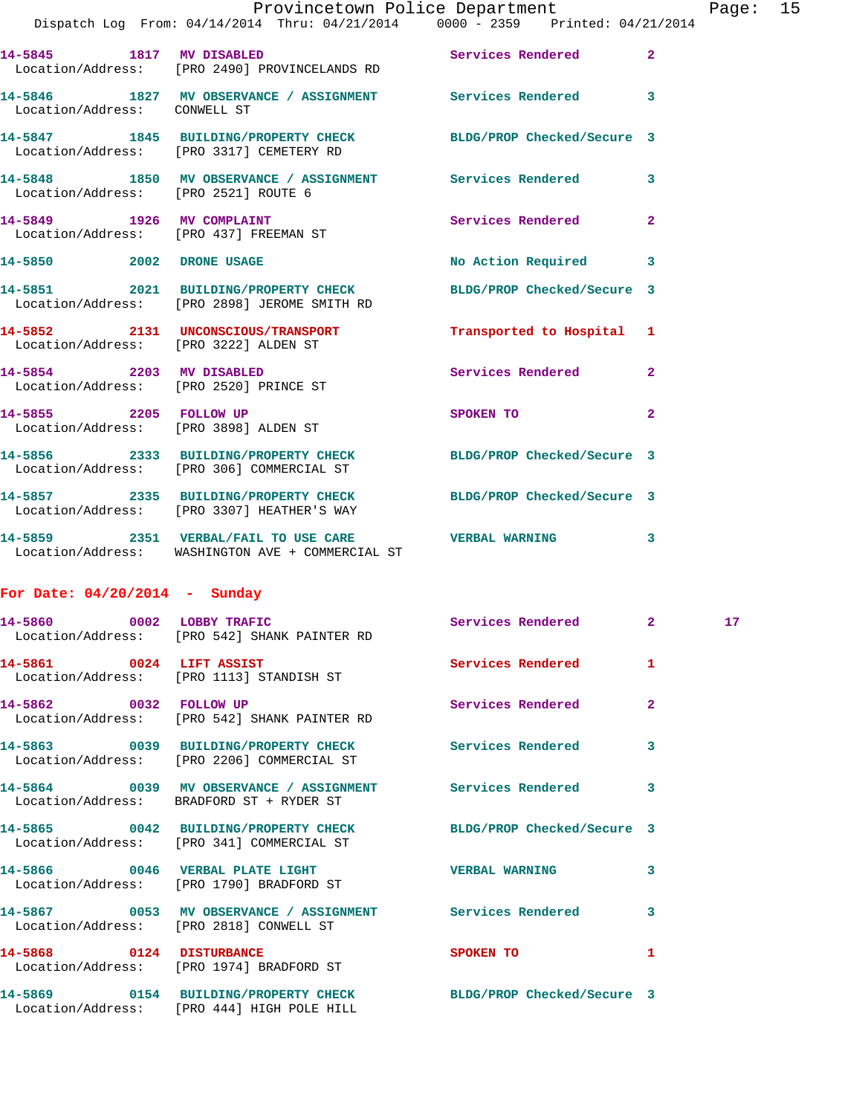|                                                                 |                                                                                                               | Provincetown Police Department |                | Page: 15        |  |
|-----------------------------------------------------------------|---------------------------------------------------------------------------------------------------------------|--------------------------------|----------------|-----------------|--|
|                                                                 | Dispatch Log From: 04/14/2014 Thru: 04/21/2014 0000 - 2359 Printed: 04/21/2014                                |                                |                |                 |  |
|                                                                 | 14-5845 1817 MV DISABLED<br>Location/Address: [PRO 2490] PROVINCELANDS RD                                     | Services Rendered 2            |                |                 |  |
| Location/Address: CONWELL ST                                    | 14-5846 1827 MV OBSERVANCE / ASSIGNMENT Services Rendered 3                                                   |                                |                |                 |  |
|                                                                 | 14-5847 1845 BUILDING/PROPERTY CHECK BLDG/PROP Checked/Secure 3<br>Location/Address: [PRO 3317] CEMETERY RD   |                                |                |                 |  |
|                                                                 | 14-5848 1850 MV OBSERVANCE / ASSIGNMENT Services Rendered 3<br>Location/Address: [PRO 2521] ROUTE 6           |                                |                |                 |  |
|                                                                 | 14-5849 1926 MV COMPLAINT<br>Location/Address: [PRO 437] FREEMAN ST                                           | Services Rendered              | $\mathbf{2}$   |                 |  |
| 14-5850 2002 DRONE USAGE                                        |                                                                                                               | No Action Required 3           |                |                 |  |
|                                                                 | 14-5851 2021 BUILDING/PROPERTY CHECK<br>Location/Address: [PRO 2898] JEROME SMITH RD                          | BLDG/PROP Checked/Secure 3     |                |                 |  |
| Location/Address: [PRO 3222] ALDEN ST                           | 14-5852 2131 UNCONSCIOUS/TRANSPORT                                                                            | Transported to Hospital 1      |                |                 |  |
|                                                                 | 14-5854 2203 MV DISABLED<br>Location/Address: [PRO 2520] PRINCE ST                                            | Services Rendered 2            |                |                 |  |
| 14-5855 2205 FOLLOW UP<br>Location/Address: [PRO 3898] ALDEN ST |                                                                                                               | SPOKEN TO AND THE SPOKEN TO    | $\overline{2}$ |                 |  |
|                                                                 | 14-5856 2333 BUILDING/PROPERTY CHECK<br>Location/Address: [PRO 306] COMMERCIAL ST                             | BLDG/PROP Checked/Secure 3     |                |                 |  |
|                                                                 | 14-5857 2335 BUILDING/PROPERTY CHECK BLDG/PROP Checked/Secure 3<br>Location/Address: [PRO 3307] HEATHER'S WAY |                                |                |                 |  |
|                                                                 | 14-5859 2351 VERBAL/FAIL TO USE CARE WERBAL WARNING 3<br>Location/Address: WASHINGTON AVE + COMMERCIAL ST     |                                |                |                 |  |
| For Date: $04/20/2014$ - Sunday                                 |                                                                                                               |                                |                |                 |  |
|                                                                 | 14-5860 0002 LOBBY TRAFIC<br>Location/Address: [PRO 542] SHANK PAINTER RD                                     | Services Rendered 2            |                | 17 <sub>1</sub> |  |
| 14-5861 0024 LIFT ASSIST                                        |                                                                                                               | <b>Services Rendered</b>       | 1              |                 |  |

 Location/Address: [PRO 1113] STANDISH ST **14-5862 0032 FOLLOW UP Services Rendered 2**  Location/Address: [PRO 542] SHANK PAINTER RD **14-5863 0039 BUILDING/PROPERTY CHECK Services Rendered 3**  Location/Address: [PRO 2206] COMMERCIAL ST **14-5864 0039 MV OBSERVANCE / ASSIGNMENT Services Rendered 3**  Location/Address: BRADFORD ST + RYDER ST **14-5865 0042 BUILDING/PROPERTY CHECK BLDG/PROP Checked/Secure 3**  Location/Address: [PRO 341] COMMERCIAL ST **14-5866 0046 VERBAL PLATE LIGHT VERBAL WARNING 3**  Location/Address: [PRO 1790] BRADFORD ST **14-5867 0053 MV OBSERVANCE / ASSIGNMENT Services Rendered 3**  Location/Address: [PRO 2818] CONWELL ST **14-5868 0124 DISTURBANCE SPOKEN TO 1**  Location/Address: [PRO 1974] BRADFORD ST **14-5869 0154 BUILDING/PROPERTY CHECK BLDG/PROP Checked/Secure 3** 

Location/Address: [PRO 444] HIGH POLE HILL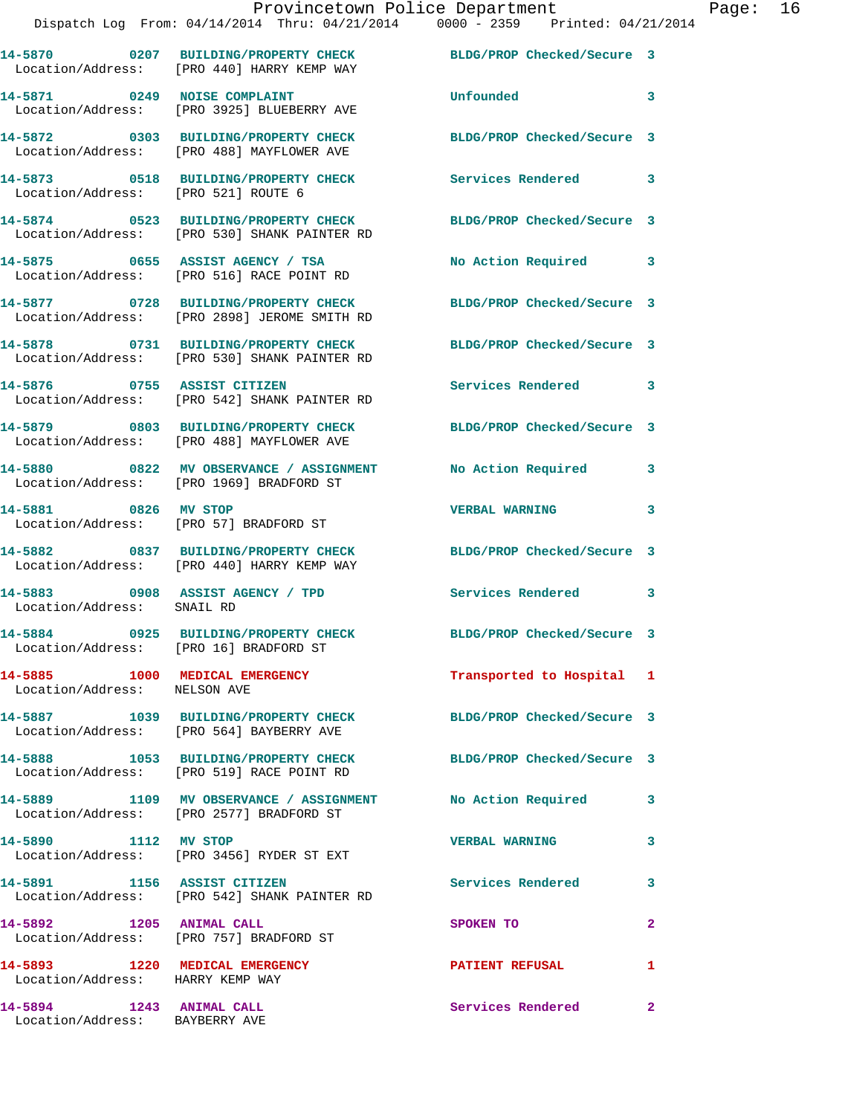|                                                                    | 14-5870 0207 BUILDING/PROPERTY CHECK<br>Location/Address: [PRO 440] HARRY KEMP WAY                          | BLDG/PROP Checked/Secure 3 |                |
|--------------------------------------------------------------------|-------------------------------------------------------------------------------------------------------------|----------------------------|----------------|
|                                                                    | 14-5871 0249 NOISE COMPLAINT<br>Location/Address: [PRO 3925] BLUEBERRY AVE                                  | Unfounded                  | 3              |
|                                                                    | 14-5872 0303 BUILDING/PROPERTY CHECK<br>Location/Address: [PRO 488] MAYFLOWER AVE                           | BLDG/PROP Checked/Secure 3 |                |
| Location/Address: [PRO 521] ROUTE 6                                | 14-5873 0518 BUILDING/PROPERTY CHECK                                                                        | Services Rendered 3        |                |
|                                                                    | 14-5874 0523 BUILDING/PROPERTY CHECK<br>Location/Address: [PRO 530] SHANK PAINTER RD                        | BLDG/PROP Checked/Secure 3 |                |
|                                                                    | 14-5875 0655 ASSIST AGENCY / TSA<br>Location/Address: [PRO 516] RACE POINT RD                               | No Action Required 3       |                |
|                                                                    | 14-5877 0728 BUILDING/PROPERTY CHECK<br>Location/Address: [PRO 2898] JEROME SMITH RD                        | BLDG/PROP Checked/Secure 3 |                |
|                                                                    | 14-5878 0731 BUILDING/PROPERTY CHECK<br>Location/Address: [PRO 530] SHANK PAINTER RD                        | BLDG/PROP Checked/Secure 3 |                |
|                                                                    | 14-5876 0755 ASSIST CITIZEN<br>Location/Address: [PRO 542] SHANK PAINTER RD                                 | Services Rendered 3        |                |
|                                                                    | 14-5879 0803 BUILDING/PROPERTY CHECK<br>Location/Address: [PRO 488] MAYFLOWER AVE                           | BLDG/PROP Checked/Secure 3 |                |
|                                                                    | 14-5880 0822 MV OBSERVANCE / ASSIGNMENT<br>Location/Address: [PRO 1969] BRADFORD ST                         | No Action Required         | 3              |
| 14-5881 0826 MV STOP                                               | Location/Address: [PRO 57] BRADFORD ST                                                                      | VERBAL WARNING 3           |                |
|                                                                    | 14-5882 0837 BUILDING/PROPERTY CHECK<br>Location/Address: [PRO 440] HARRY KEMP WAY                          | BLDG/PROP Checked/Secure 3 |                |
| Location/Address: SNAIL RD                                         | 14-5883 0908 ASSIST AGENCY / TPD                                                                            | Services Rendered 3        |                |
| Location/Address: [PRO 16] BRADFORD ST                             | 14-5884 0925 BUILDING/PROPERTY CHECK                                                                        | BLDG/PROP Checked/Secure 3 |                |
| 14-5885 1000 MEDICAL EMERGENCY<br>Location/Address: NELSON AVE     |                                                                                                             | Transported to Hospital 1  |                |
|                                                                    | 14-5887 1039 BUILDING/PROPERTY CHECK BLDG/PROP Checked/Secure 3<br>Location/Address: [PRO 564] BAYBERRY AVE |                            |                |
|                                                                    | 14-5888 1053 BUILDING/PROPERTY CHECK<br>Location/Address: [PRO 519] RACE POINT RD                           | BLDG/PROP Checked/Secure 3 |                |
|                                                                    | 14-5889 1109 MV OBSERVANCE / ASSIGNMENT<br>Location/Address: [PRO 2577] BRADFORD ST                         | No Action Required         | $\mathbf{3}$   |
| 14-5890 1112 MV STOP                                               | Location/Address: [PRO 3456] RYDER ST EXT                                                                   | <b>VERBAL WARNING</b>      | $\mathbf{3}$   |
| 14-5891 1156 ASSIST CITIZEN                                        | Location/Address: [PRO 542] SHANK PAINTER RD                                                                | <b>Services Rendered</b>   | 3              |
| 14-5892 1205 ANIMAL CALL                                           | Location/Address: [PRO 757] BRADFORD ST                                                                     | SPOKEN TO                  | $\overline{2}$ |
| 14-5893 1220 MEDICAL EMERGENCY<br>Location/Address: HARRY KEMP WAY |                                                                                                             | <b>PATIENT REFUSAL</b>     | 1              |
| 14-5894 1243 ANIMAL CALL<br>Location/Address: BAYBERRY AVE         |                                                                                                             | Services Rendered          | $\mathbf{2}$   |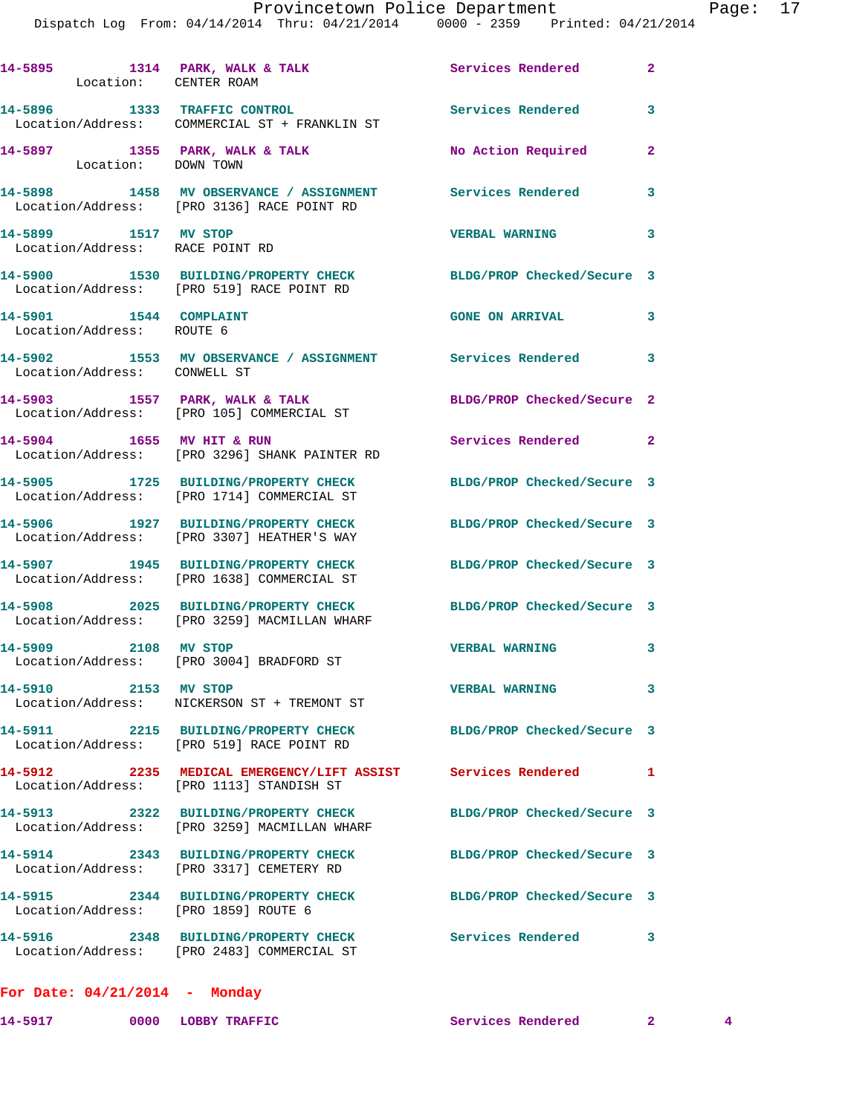## Provincetown Police Department Fage: 17

Dispatch Log From: 04/14/2014 Thru: 04/21/2014 0000 - 2359 Printed: 04/21/2014

| Location: CENTER ROAM                                   | 14-5895 1314 PARK, WALK & TALK                                                                          | Services Rendered 2        |                            |
|---------------------------------------------------------|---------------------------------------------------------------------------------------------------------|----------------------------|----------------------------|
|                                                         | 14-5896 1333 TRAFFIC CONTROL<br>Location/Address: COMMERCIAL ST + FRANKLIN ST                           | Services Rendered          | 3                          |
| Location: DOWN TOWN                                     | 14-5897 1355 PARK, WALK & TALK                                                                          | No Action Required         | $\mathbf{2}$               |
|                                                         | 14-5898 1458 MV OBSERVANCE / ASSIGNMENT Services Rendered<br>Location/Address: [PRO 3136] RACE POINT RD |                            | 3                          |
| 14-5899 1517 MV STOP<br>Location/Address: RACE POINT RD |                                                                                                         | <b>VERBAL WARNING</b>      | $\overline{\mathbf{3}}$    |
|                                                         | 14-5900 1530 BUILDING/PROPERTY CHECK<br>Location/Address: [PRO 519] RACE POINT RD                       | BLDG/PROP Checked/Secure 3 |                            |
| 14-5901 1544 COMPLAINT<br>Location/Address: ROUTE 6     |                                                                                                         | <b>GONE ON ARRIVAL</b>     | $\mathbf{3}$               |
| Location/Address: CONWELL ST                            | 14-5902 1553 MV OBSERVANCE / ASSIGNMENT Services Rendered 3                                             |                            |                            |
|                                                         | 14-5903 1557 PARK, WALK & TALK<br>Location/Address: [PRO 105] COMMERCIAL ST                             | BLDG/PROP Checked/Secure 2 |                            |
| 14-5904 1655 MV HIT & RUN                               | Location/Address: [PRO 3296] SHANK PAINTER RD                                                           | Services Rendered 2        |                            |
|                                                         | 14-5905 1725 BUILDING/PROPERTY CHECK<br>Location/Address: [PRO 1714] COMMERCIAL ST                      | BLDG/PROP Checked/Secure 3 |                            |
|                                                         | 14-5906 1927 BUILDING/PROPERTY CHECK<br>Location/Address: [PRO 3307] HEATHER'S WAY                      | BLDG/PROP Checked/Secure 3 |                            |
|                                                         | 14-5907 1945 BUILDING/PROPERTY CHECK<br>Location/Address: [PRO 1638] COMMERCIAL ST                      | BLDG/PROP Checked/Secure 3 |                            |
|                                                         | 14-5908 2025 BUILDING/PROPERTY CHECK<br>Location/Address: [PRO 3259] MACMILLAN WHARF                    | BLDG/PROP Checked/Secure 3 |                            |
| 14-5909 2108 MV STOP                                    | Location/Address: [PRO 3004] BRADFORD ST                                                                | <b>VERBAL WARNING</b>      | $\overline{\mathbf{3}}$    |
| 14-5910 2153 MV STOP                                    | Location/Address: NICKERSON ST + TREMONT ST                                                             | <b>VERBAL WARNING</b>      | $\mathbf{3}$               |
|                                                         | 14-5911 2215 BUILDING/PROPERTY CHECK<br>Location/Address: [PRO 519] RACE POINT RD                       | BLDG/PROP Checked/Secure 3 |                            |
| 14-5912                                                 | 2235 MEDICAL EMERGENCY/LIFT ASSIST Services Rendered<br>Location/Address: [PRO 1113] STANDISH ST        |                            | 1                          |
|                                                         | 14-5913 2322 BUILDING/PROPERTY CHECK<br>Location/Address: [PRO 3259] MACMILLAN WHARF                    | BLDG/PROP Checked/Secure 3 |                            |
|                                                         | 14-5914 2343 BUILDING/PROPERTY CHECK<br>Location/Address: [PRO 3317] CEMETERY RD                        | BLDG/PROP Checked/Secure 3 |                            |
| Location/Address: [PRO 1859] ROUTE 6                    | 14-5915 2344 BUILDING/PROPERTY CHECK                                                                    | BLDG/PROP Checked/Secure 3 |                            |
|                                                         | 14-5916 2348 BUILDING/PROPERTY CHECK<br>Location/Address: [PRO 2483] COMMERCIAL ST                      | Services Rendered          | $\overline{\phantom{a}}$ 3 |
| For Date: $04/21/2014$ - Monday                         |                                                                                                         |                            |                            |

**14-5917 0000 LOBBY TRAFFIC Services Rendered 2 4**